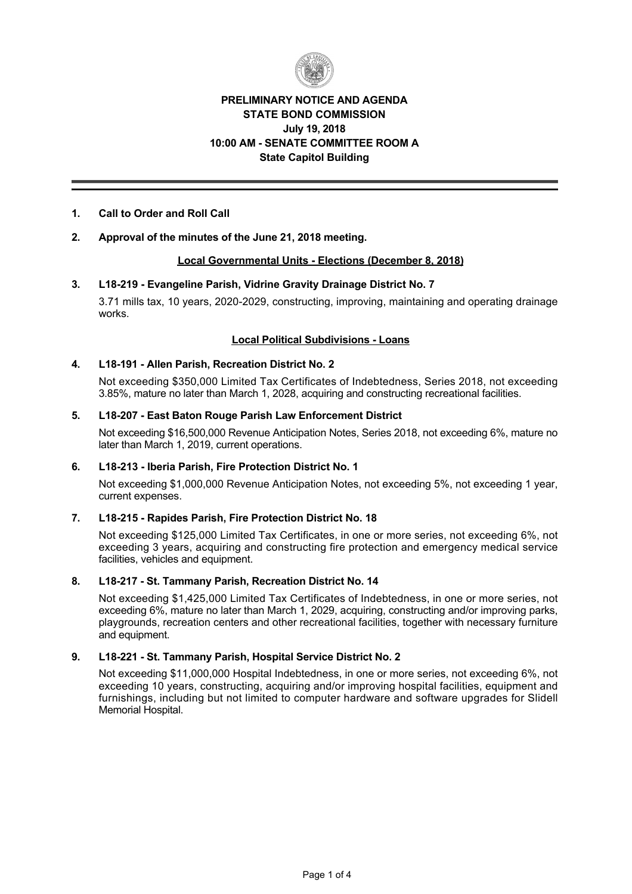

# **PRELIMINARY NOTICE AND AGENDA STATE BOND COMMISSION July 19, 2018 10:00 AM SENATE COMMITTEE ROOM A State Capitol Building**

## **1. Call to Order and Roll Call**

## **2. Approval of the minutes of the June 21, 2018 meeting.**

## **Local Governmental Units Elections (December 8, 2018)**

## **3. L18219 Evangeline Parish, Vidrine Gravity Drainage District No. 7**

3.71 mills tax, 10 years, 2020-2029, constructing, improving, maintaining and operating drainage works.

## **Local Political Subdivisions Loans**

## **4. L18191 Allen Parish, Recreation District No. 2**

Not exceeding \$350,000 Limited Tax Certificates of Indebtedness, Series 2018, not exceeding 3.85%, mature no later than March 1, 2028, acquiring and constructing recreational facilities.

## **5. L18207 East Baton Rouge Parish Law Enforcement District**

Not exceeding \$16,500,000 Revenue Anticipation Notes, Series 2018, not exceeding 6%, mature no later than March 1, 2019, current operations.

### **6. L18213 Iberia Parish, Fire Protection District No. 1**

Not exceeding \$1,000,000 Revenue Anticipation Notes, not exceeding 5%, not exceeding 1 year, current expenses.

## **7. L18215 Rapides Parish, Fire Protection District No. 18**

Not exceeding \$125,000 Limited Tax Certificates, in one or more series, not exceeding 6%, not exceeding 3 years, acquiring and constructing fire protection and emergency medical service facilities, vehicles and equipment.

### **8. L18217 St. Tammany Parish, Recreation District No. 14**

Not exceeding \$1,425,000 Limited Tax Certificates of Indebtedness, in one or more series, not exceeding 6%, mature no later than March 1, 2029, acquiring, constructing and/or improving parks, playgrounds, recreation centers and other recreational facilities, together with necessary furniture and equipment.

### **9. L18221 St. Tammany Parish, Hospital Service District No. 2**

Not exceeding \$11,000,000 Hospital Indebtedness, in one or more series, not exceeding 6%, not exceeding 10 years, constructing, acquiring and/or improving hospital facilities, equipment and furnishings, including but not limited to computer hardware and software upgrades for Slidell Memorial Hospital.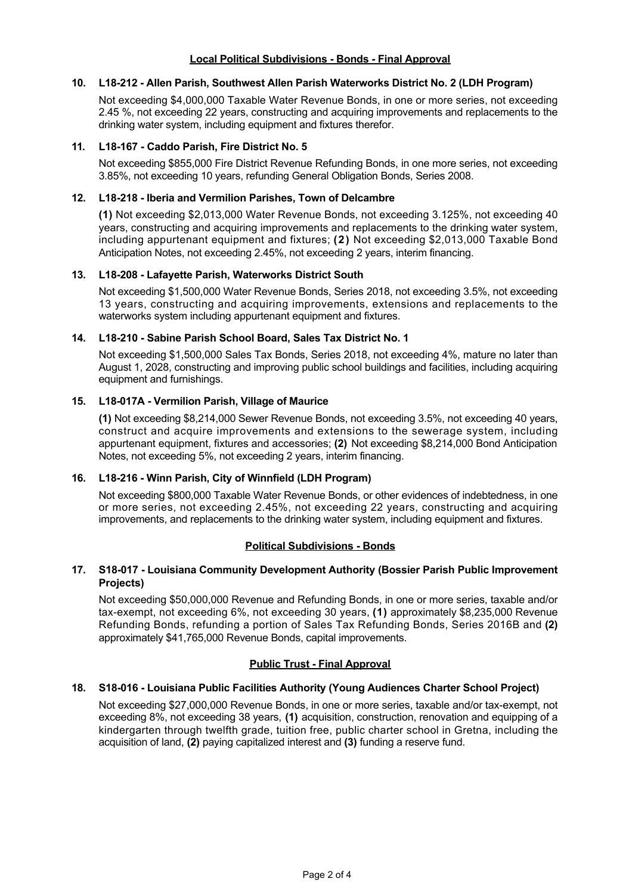## **Local Political Subdivisions - Bonds - Final Approval**

## **10. L18212 Allen Parish, Southwest Allen Parish Waterworks District No. 2 (LDH Program)**

Not exceeding \$4,000,000 Taxable Water Revenue Bonds, in one or more series, not exceeding 2.45 %, not exceeding 22 years, constructing and acquiring improvements and replacements to the drinking water system, including equipment and fixtures therefor.

## **11. L18167 Caddo Parish, Fire District No. 5**

Not exceeding \$855,000 Fire District Revenue Refunding Bonds, in one more series, not exceeding 3.85%, not exceeding 10 years, refunding General Obligation Bonds, Series 2008.

### **12. L18218 Iberia and Vermilion Parishes, Town of Delcambre**

**(1)** Not exceeding \$2,013,000 Water Revenue Bonds, not exceeding 3.125%, not exceeding 40 years, constructing and acquiring improvements and replacements to the drinking water system, including appurtenant equipment and fixtures; **(2)** Not exceeding \$2,013,000 Taxable Bond Anticipation Notes, not exceeding 2.45%, not exceeding 2 years, interim financing.

## **13. L18208 Lafayette Parish, Waterworks District South**

Not exceeding \$1,500,000 Water Revenue Bonds, Series 2018, not exceeding 3.5%, not exceeding 13 years, constructing and acquiring improvements, extensions and replacements to the waterworks system including appurtenant equipment and fixtures.

## **14. L18210 Sabine Parish School Board, Sales Tax District No. 1**

Not exceeding \$1,500,000 Sales Tax Bonds, Series 2018, not exceeding 4%, mature no later than August 1, 2028, constructing and improving public school buildings and facilities, including acquiring equipment and furnishings.

## 15. L18-017A - Vermilion Parish, Village of Maurice

**(1)** Not exceeding \$8,214,000 Sewer Revenue Bonds, not exceeding 3.5%, not exceeding 40 years, construct and acquire improvements and extensions to the sewerage system, including appurtenant equipment, fixtures and accessories; **(2)** Not exceeding \$8,214,000 Bond Anticipation Notes, not exceeding 5%, not exceeding 2 years, interim financing.

# **16. L18216 Winn Parish, City of Winnfield (LDH Program)**

Not exceeding \$800,000 Taxable Water Revenue Bonds, or other evidences of indebtedness, in one or more series, not exceeding 2.45%, not exceeding 22 years, constructing and acquiring improvements, and replacements to the drinking water system, including equipment and fixtures.

## **Political Subdivisions - Bonds**

## **17. S18017 Louisiana Community Development Authority (Bossier Parish Public Improvement Projects)**

Not exceeding \$50,000,000 Revenue and Refunding Bonds, in one or more series, taxable and/or tax-exempt, not exceeding 6%, not exceeding 30 years, (1) approximately \$8,235,000 Revenue Refunding Bonds, refunding a portion of Sales Tax Refunding Bonds, Series 2016B and **(2)** approximately \$41,765,000 Revenue Bonds, capital improvements.

## **Public Trust - Final Approval**

## **18. S18016 Louisiana Public Facilities Authority (Young Audiences Charter School Project)**

Not exceeding \$27,000,000 Revenue Bonds, in one or more series, taxable and/or tax-exempt, not exceeding 8%, not exceeding 38 years, **(1)** acquisition, construction, renovation and equipping of a kindergarten through twelfth grade, tuition free, public charter school in Gretna, including the acquisition of land, **(2)** paying capitalized interest and **(3)** funding a reserve fund.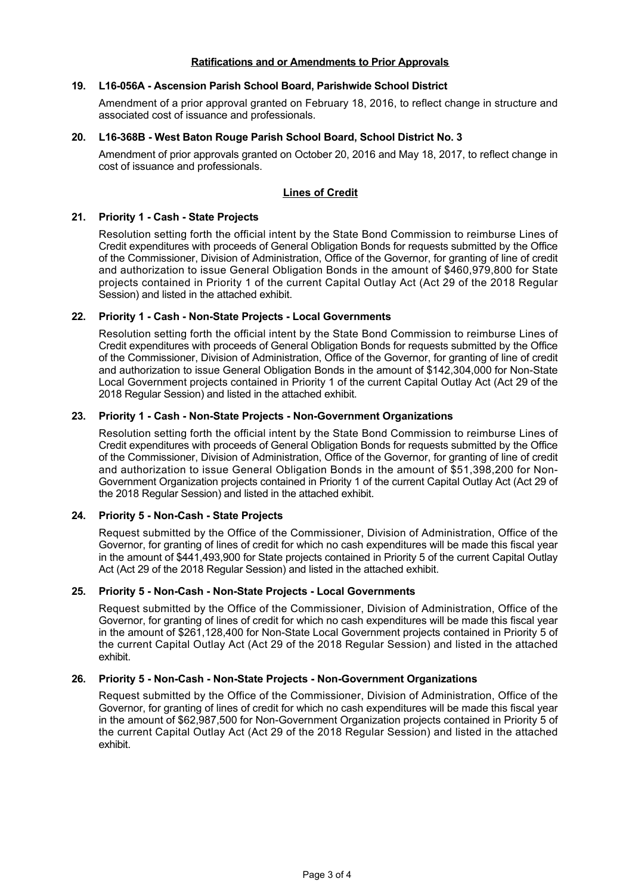## **Ratifications and or Amendments to Prior Approvals**

## **19. L16056A Ascension Parish School Board, Parishwide School District**

Amendment of a prior approval granted on February 18, 2016, to reflect change in structure and associated cost of issuance and professionals.

## **20. L16368B West Baton Rouge Parish School Board, School District No. 3**

Amendment of prior approvals granted on October 20, 2016 and May 18, 2017, to reflect change in cost of issuance and professionals.

## **Lines of Credit**

## **21.** Priority 1 - Cash - State Projects

Resolution setting forth the official intent by the State Bond Commission to reimburse Lines of Credit expenditures with proceeds of General Obligation Bonds for requests submitted by the Office of the Commissioner, Division of Administration, Office of the Governor, for granting of line of credit and authorization to issue General Obligation Bonds in the amount of \$460,979,800 for State projects contained in Priority 1 of the current Capital Outlay Act (Act 29 of the 2018 Regular Session) and listed in the attached exhibit.

## **22. Priority 1 - Cash - Non-State Projects - Local Governments**

Resolution setting forth the official intent by the State Bond Commission to reimburse Lines of Credit expenditures with proceeds of General Obligation Bonds for requests submitted by the Office of the Commissioner, Division of Administration, Office of the Governor, for granting of line of credit and authorization to issue General Obligation Bonds in the amount of \$142,304,000 for Non-State Local Government projects contained in Priority 1 of the current Capital Outlay Act (Act 29 of the 2018 Regular Session) and listed in the attached exhibit.

## **23. Priority 1 Cash NonState Projects NonGovernment Organizations**

Resolution setting forth the official intent by the State Bond Commission to reimburse Lines of Credit expenditures with proceeds of General Obligation Bonds for requests submitted by the Office of the Commissioner, Division of Administration, Office of the Governor, for granting of line of credit and authorization to issue General Obligation Bonds in the amount of \$51,398,200 for Non-Government Organization projects contained in Priority 1 of the current Capital Outlay Act (Act 29 of the 2018 Regular Session) and listed in the attached exhibit.

### **24. Priority 5 NonCash State Projects**

Request submitted by the Office of the Commissioner, Division of Administration, Office of the Governor, for granting of lines of credit for which no cash expenditures will be made this fiscal year in the amount of \$441,493,900 for State projects contained in Priority 5 of the current Capital Outlay Act (Act 29 of the 2018 Regular Session) and listed in the attached exhibit.

### **25. Priority 5 NonCash NonState Projects Local Governments**

Request submitted by the Office of the Commissioner, Division of Administration, Office of the Governor, for granting of lines of credit for which no cash expenditures will be made this fiscal year in the amount of \$261,128,400 for Non-State Local Government projects contained in Priority 5 of the current Capital Outlay Act (Act 29 of the 2018 Regular Session) and listed in the attached exhibit.

### 26. Priority 5 - Non-Cash - Non-State Projects - Non-Government Organizations

Request submitted by the Office of the Commissioner, Division of Administration, Office of the Governor, for granting of lines of credit for which no cash expenditures will be made this fiscal year in the amount of \$62,987,500 for Non-Government Organization projects contained in Priority 5 of the current Capital Outlay Act (Act 29 of the 2018 Regular Session) and listed in the attached exhibit.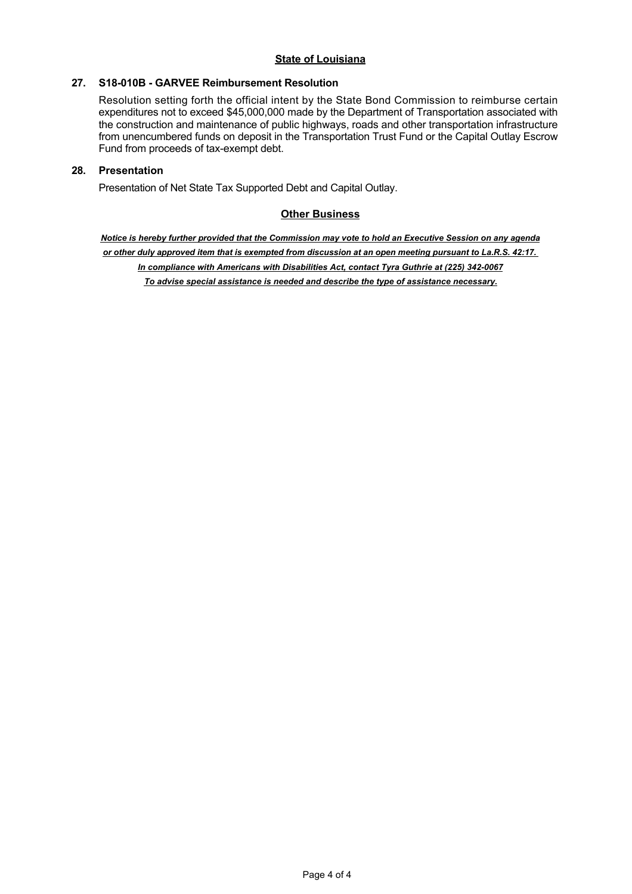## 27. S18-010B - GARVEE Reimbursement Resolution

Resolution setting forth the official intent by the State Bond Commission to reimburse certain expenditures not to exceed \$45,000,000 made by the Department of Transportation associated with the construction and maintenance of public highways, roads and other transportation infrastructure from unencumbered funds on deposit in the Transportation Trust Fund or the Capital Outlay Escrow Fund from proceeds of tax-exempt debt.

## **28. Presentation**

Presentation of Net State Tax Supported Debt and Capital Outlay.

## **Other Business**

*Notice is hereby further provided that the Commission may vote to hold an Executive Session on any agenda or other duly approved item that is exempted from discussion at an open meeting pursuant to La.R.S. 42:17.*  In compliance with Americans with Disabilities Act, contact Tyra Guthrie at (225) 342-0067 *To advise special assistance is needed and describe the type of assistance necessary.*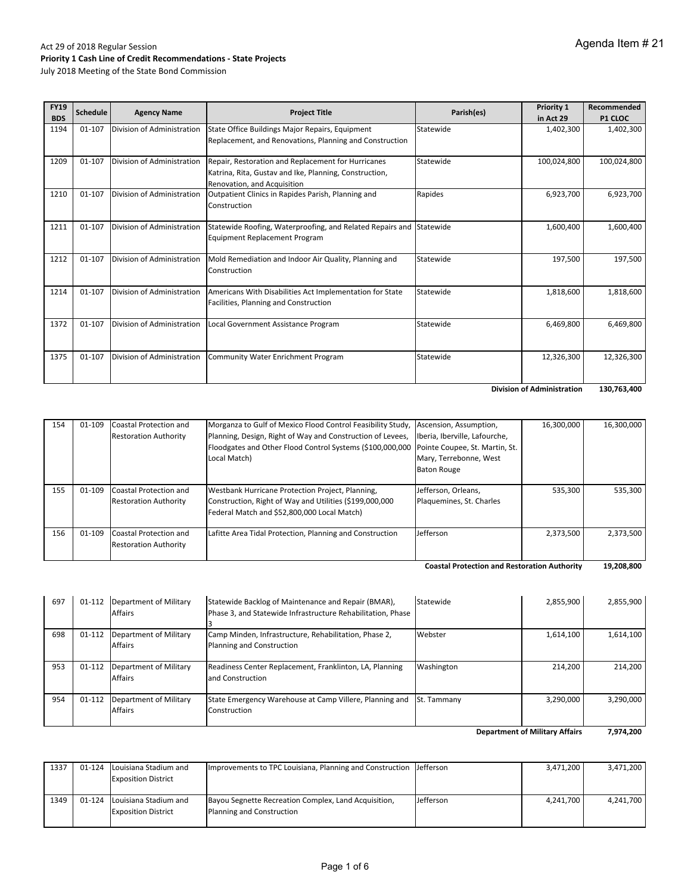July 2018 Meeting of the State Bond Commission

| <b>FY19</b><br><b>BDS</b> | <b>Schedule</b> | <b>Agency Name</b>         | <b>Project Title</b>                                                                                                                        | Parish(es) | Priority 1<br>in Act 29 | Recommended          |
|---------------------------|-----------------|----------------------------|---------------------------------------------------------------------------------------------------------------------------------------------|------------|-------------------------|----------------------|
| 1194                      | 01-107          | Division of Administration | State Office Buildings Major Repairs, Equipment                                                                                             | Statewide  | 1,402,300               | P1 CLOC<br>1,402,300 |
|                           |                 |                            | Replacement, and Renovations, Planning and Construction                                                                                     |            |                         |                      |
| 1209                      | 01-107          | Division of Administration | Repair, Restoration and Replacement for Hurricanes<br>Katrina, Rita, Gustav and Ike, Planning, Construction,<br>Renovation, and Acquisition | Statewide  | 100,024,800             | 100,024,800          |
| 1210                      | 01-107          | Division of Administration | Outpatient Clinics in Rapides Parish, Planning and<br>Construction                                                                          | Rapides    | 6,923,700               | 6,923,700            |
| 1211                      | 01-107          | Division of Administration | Statewide Roofing, Waterproofing, and Related Repairs and<br><b>Equipment Replacement Program</b>                                           | Statewide  | 1,600,400               | 1,600,400            |
| 1212                      | 01-107          | Division of Administration | Mold Remediation and Indoor Air Quality, Planning and<br>Construction                                                                       | Statewide  | 197,500                 | 197,500              |
| 1214                      | 01-107          | Division of Administration | Americans With Disabilities Act Implementation for State<br>Facilities, Planning and Construction                                           | Statewide  | 1,818,600               | 1,818,600            |
| 1372                      | 01-107          | Division of Administration | Local Government Assistance Program                                                                                                         | Statewide  | 6,469,800               | 6,469,800            |
| 1375                      | 01-107          | Division of Administration | <b>Community Water Enrichment Program</b>                                                                                                   | Statewide  | 12,326,300              | 12,326,300           |

**130,763,400 Division of Administration** 

| 154 | 01-109 | Coastal Protection and       | Morganza to Gulf of Mexico Flood Control Feasibility Study, Ascension, Assumption,       |                               | 16,300,000 | 16,300,000 |
|-----|--------|------------------------------|------------------------------------------------------------------------------------------|-------------------------------|------------|------------|
|     |        | <b>Restoration Authority</b> | Planning, Design, Right of Way and Construction of Levees,                               | Iberia, Iberville, Lafourche, |            |            |
|     |        |                              | Floodgates and Other Flood Control Systems (\$100,000,000 Pointe Coupee, St. Martin, St. |                               |            |            |
|     |        |                              | Local Match)                                                                             | Mary, Terrebonne, West        |            |            |
|     |        |                              |                                                                                          | <b>Baton Rouge</b>            |            |            |
|     |        |                              |                                                                                          |                               |            |            |
| 155 | 01-109 | Coastal Protection and       | Westbank Hurricane Protection Project, Planning,                                         | Jefferson, Orleans,           | 535.300    | 535,300    |
|     |        | <b>Restoration Authority</b> | Construction, Right of Way and Utilities (\$199,000,000                                  | Plaquemines, St. Charles      |            |            |
|     |        |                              | Federal Match and \$52,800,000 Local Match)                                              |                               |            |            |
|     |        |                              |                                                                                          |                               |            |            |
| 156 | 01-109 | Coastal Protection and       | Lafitte Area Tidal Protection, Planning and Construction                                 | Jefferson                     | 2,373,500  | 2,373,500  |
|     |        | <b>Restoration Authority</b> |                                                                                          |                               |            |            |
|     |        |                              |                                                                                          |                               |            |            |

**19,208,800 Coastal Protection and Restoration Authority** 

| 697 | 01-112 | Department of Military                   | Statewide Backlog of Maintenance and Repair (BMAR),                                | Statewide          | 2,855,900 | 2,855,900 |
|-----|--------|------------------------------------------|------------------------------------------------------------------------------------|--------------------|-----------|-----------|
|     |        | <b>Affairs</b>                           | Phase 3, and Statewide Infrastructure Rehabilitation, Phase                        |                    |           |           |
| 698 | 01-112 | Department of Military<br><b>Affairs</b> | Camp Minden, Infrastructure, Rehabilitation, Phase 2,<br>Planning and Construction | Webster            | 1,614,100 | 1,614,100 |
| 953 | 01-112 | Department of Military<br><b>Affairs</b> | Readiness Center Replacement, Franklinton, LA, Planning<br>and Construction        | Washington         | 214.200   | 214,200   |
| 954 | 01-112 | Department of Military<br><b>Affairs</b> | State Emergency Warehouse at Camp Villere, Planning and<br>Construction            | <b>St. Tammany</b> | 3,290,000 | 3.290.000 |
|     |        |                                          |                                                                                    |                    |           |           |

**7,974,200 Department of Military Affairs**

| 1337 | 01-124 | Louisiana Stadium and<br><b>Exposition District</b>        | Improvements to TPC Louisiana, Planning and Construction IJ efferson              |           | 3,471,200 | 3,471,200 |
|------|--------|------------------------------------------------------------|-----------------------------------------------------------------------------------|-----------|-----------|-----------|
| 1349 |        | 01-124 Louisiana Stadium and<br><b>Exposition District</b> | Bayou Segnette Recreation Complex, Land Acquisition,<br>Planning and Construction | Jefferson | 4,241,700 | 4.241.700 |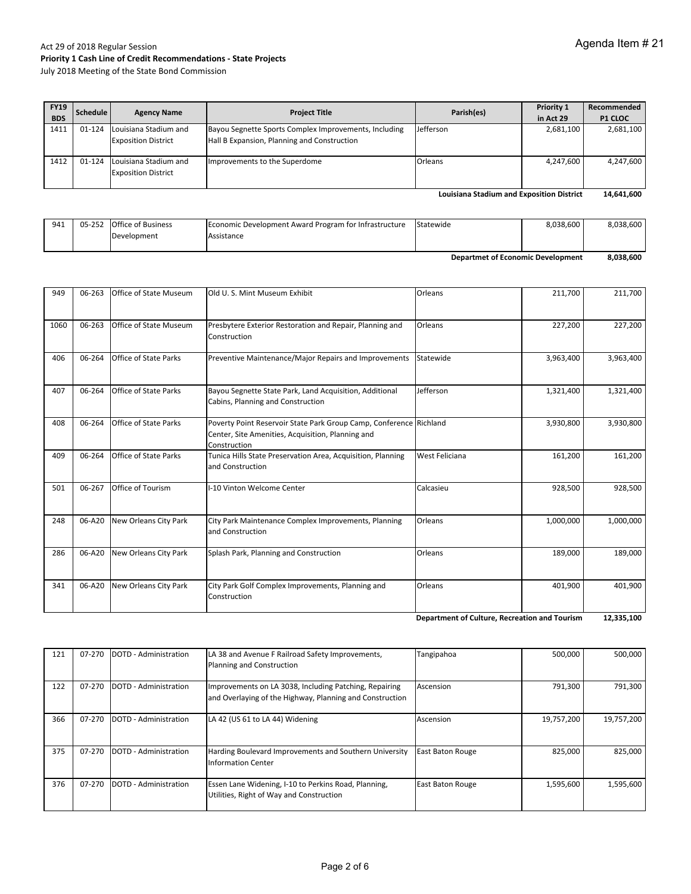July 2018 Meeting of the State Bond Commission

| <b>FY19</b><br><b>BDS</b> | Schedule   | <b>Agency Name</b>                                  | <b>Project Title</b>                                                                                 | Parish(es)     | Priority 1<br>in Act 29 | Recommended<br><b>P1 CLOC</b> |
|---------------------------|------------|-----------------------------------------------------|------------------------------------------------------------------------------------------------------|----------------|-------------------------|-------------------------------|
| 1411                      | 01-124     | Louisiana Stadium and<br><b>Exposition District</b> | Bayou Segnette Sports Complex Improvements, Including<br>Hall B Expansion, Planning and Construction | Jefferson      | 2,681,100               | 2,681,100                     |
| 1412                      | $01 - 124$ | Louisiana Stadium and<br><b>Exposition District</b> | Improvements to the Superdome                                                                        | <b>Orleans</b> | 4.247.600               | 4,247,600                     |

**14,641,600 Louisiana Stadium and Exposition District**

| 941 | 05-252 | <b>Office of Business</b> | Economic Development Award Program for Infrastructure | Statewide | 8,038,600 | 8,038,600 |
|-----|--------|---------------------------|-------------------------------------------------------|-----------|-----------|-----------|
|     |        | Development               | Assistance                                            |           |           |           |
|     |        |                           |                                                       |           |           |           |

**8,038,600 Departmet of Economic Development**

| 949  | 06-263 | Office of State Museum        | Old U.S. Mint Museum Exhibit                                                                                                            | Orleans               | 211,700   | 211,700   |
|------|--------|-------------------------------|-----------------------------------------------------------------------------------------------------------------------------------------|-----------------------|-----------|-----------|
| 1060 | 06-263 | <b>Office of State Museum</b> | Presbytere Exterior Restoration and Repair, Planning and<br>Construction                                                                | Orleans               | 227,200   | 227,200   |
| 406  | 06-264 | <b>Office of State Parks</b>  | Preventive Maintenance/Major Repairs and Improvements                                                                                   | Statewide             | 3,963,400 | 3,963,400 |
| 407  | 06-264 | <b>Office of State Parks</b>  | Bayou Segnette State Park, Land Acquisition, Additional<br>Cabins, Planning and Construction                                            | Jefferson             | 1,321,400 | 1,321,400 |
| 408  | 06-264 | <b>Office of State Parks</b>  | Poverty Point Reservoir State Park Group Camp, Conference Richland<br>Center, Site Amenities, Acquisition, Planning and<br>Construction |                       | 3,930,800 | 3,930,800 |
| 409  | 06-264 | <b>Office of State Parks</b>  | Tunica Hills State Preservation Area, Acquisition, Planning<br>and Construction                                                         | <b>West Feliciana</b> | 161,200   | 161,200   |
| 501  | 06-267 | <b>Office of Tourism</b>      | I-10 Vinton Welcome Center                                                                                                              | Calcasieu             | 928,500   | 928,500   |
| 248  | 06-A20 | New Orleans City Park         | City Park Maintenance Complex Improvements, Planning<br>and Construction                                                                | Orleans               | 1,000,000 | 1,000,000 |
| 286  | 06-A20 | New Orleans City Park         | Splash Park, Planning and Construction                                                                                                  | Orleans               | 189,000   | 189,000   |
| 341  | 06-A20 | New Orleans City Park         | City Park Golf Complex Improvements, Planning and<br>Construction                                                                       | Orleans               | 401,900   | 401,900   |

**12,335,100 Department of Culture, Recreation and Tourism**

| 121 | 07-270 | DOTD - Administration | LA 38 and Avenue F Railroad Safety Improvements,<br>Planning and Construction                                      | Tangipahoa              | 500,000    | 500,000    |
|-----|--------|-----------------------|--------------------------------------------------------------------------------------------------------------------|-------------------------|------------|------------|
| 122 | 07-270 | DOTD - Administration | Improvements on LA 3038, Including Patching, Repairing<br>and Overlaying of the Highway, Planning and Construction | Ascension               | 791,300    | 791,300    |
| 366 | 07-270 | DOTD - Administration | LA 42 (US 61 to LA 44) Widening                                                                                    | Ascension               | 19,757,200 | 19,757,200 |
| 375 | 07-270 | DOTD - Administration | Harding Boulevard Improvements and Southern University<br><b>Information Center</b>                                | <b>East Baton Rouge</b> | 825,000    | 825,000    |
| 376 | 07-270 | DOTD - Administration | Essen Lane Widening, I-10 to Perkins Road, Planning,<br>Utilities, Right of Way and Construction                   | <b>East Baton Rouge</b> | 1,595,600  | 1.595.600  |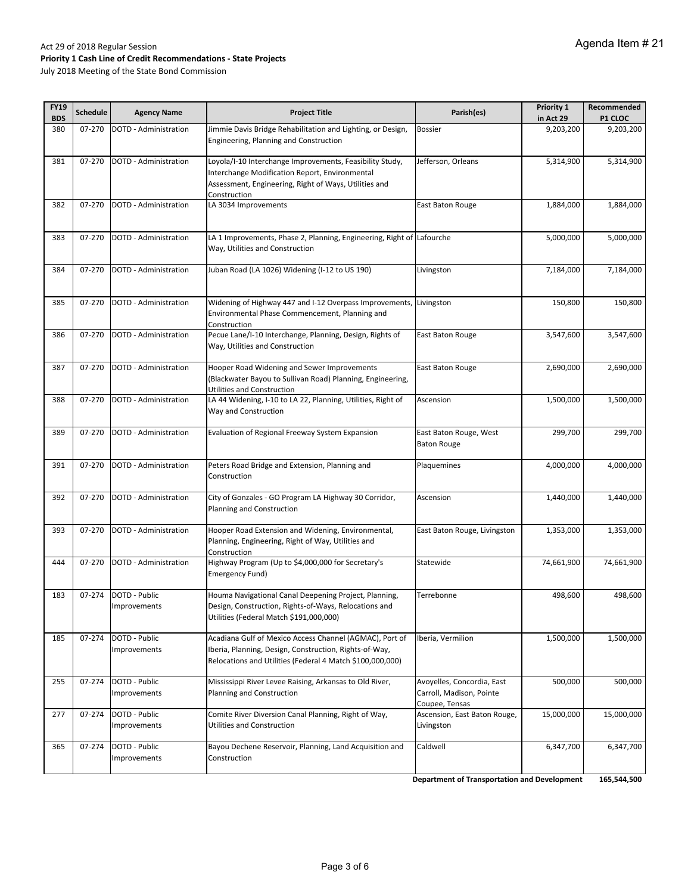July 2018 Meeting of the State Bond Commission

| <b>FY19</b><br><b>BDS</b> | <b>Schedule</b> | <b>Agency Name</b>            | <b>Project Title</b>                                                                                                                                                                | Parish(es)                                                               | Priority 1<br>in Act 29 | Recommended<br><b>P1 CLOC</b> |
|---------------------------|-----------------|-------------------------------|-------------------------------------------------------------------------------------------------------------------------------------------------------------------------------------|--------------------------------------------------------------------------|-------------------------|-------------------------------|
| 380                       | 07-270          | DOTD - Administration         | Jimmie Davis Bridge Rehabilitation and Lighting, or Design,<br>Engineering, Planning and Construction                                                                               | <b>Bossier</b>                                                           | 9,203,200               | 9,203,200                     |
| 381                       | 07-270          | DOTD - Administration         | Loyola/I-10 Interchange Improvements, Feasibility Study,<br>Interchange Modification Report, Environmental<br>Assessment, Engineering, Right of Ways, Utilities and<br>Construction | Jefferson, Orleans                                                       | 5,314,900               | 5,314,900                     |
| 382                       | 07-270          | DOTD - Administration         | LA 3034 Improvements                                                                                                                                                                | East Baton Rouge                                                         | 1,884,000               | 1,884,000                     |
| 383                       | 07-270          | DOTD - Administration         | LA 1 Improvements, Phase 2, Planning, Engineering, Right of Lafourche<br>Way, Utilities and Construction                                                                            |                                                                          | 5,000,000               | 5,000,000                     |
| 384                       | 07-270          | DOTD - Administration         | Juban Road (LA 1026) Widening (I-12 to US 190)                                                                                                                                      | Livingston                                                               | 7,184,000               | 7,184,000                     |
| 385                       | 07-270          | DOTD - Administration         | Widening of Highway 447 and I-12 Overpass Improvements, Livingston<br>Environmental Phase Commencement, Planning and<br>Construction                                                |                                                                          | 150,800                 | 150,800                       |
| 386                       | 07-270          | DOTD - Administration         | Pecue Lane/I-10 Interchange, Planning, Design, Rights of<br>Way, Utilities and Construction                                                                                         | <b>East Baton Rouge</b>                                                  | 3,547,600               | 3,547,600                     |
| 387                       | 07-270          | DOTD - Administration         | Hooper Road Widening and Sewer Improvements<br>(Blackwater Bayou to Sullivan Road) Planning, Engineering,<br>Utilities and Construction                                             | East Baton Rouge                                                         | 2,690,000               | $\overline{2,690,000}$        |
| 388                       | 07-270          | DOTD - Administration         | LA 44 Widening, I-10 to LA 22, Planning, Utilities, Right of<br>Way and Construction                                                                                                | Ascension                                                                | 1,500,000               | 1,500,000                     |
| 389                       | 07-270          | DOTD - Administration         | Evaluation of Regional Freeway System Expansion                                                                                                                                     | East Baton Rouge, West<br><b>Baton Rouge</b>                             | 299,700                 | 299,700                       |
| 391                       | 07-270          | DOTD - Administration         | Peters Road Bridge and Extension, Planning and<br>Construction                                                                                                                      | Plaquemines                                                              | 4,000,000               | 4,000,000                     |
| 392                       | 07-270          | DOTD - Administration         | City of Gonzales - GO Program LA Highway 30 Corridor,<br>Planning and Construction                                                                                                  | Ascension                                                                | 1,440,000               | 1,440,000                     |
| 393                       | 07-270          | DOTD - Administration         | Hooper Road Extension and Widening, Environmental,<br>Planning, Engineering, Right of Way, Utilities and<br>Construction                                                            | East Baton Rouge, Livingston                                             | 1,353,000               | 1,353,000                     |
| 444                       | 07-270          | DOTD - Administration         | Highway Program (Up to \$4,000,000 for Secretary's<br>Emergency Fund)                                                                                                               | Statewide                                                                | 74,661,900              | 74,661,900                    |
| 183                       | 07-274          | DOTD - Public<br>Improvements | Houma Navigational Canal Deepening Project, Planning,<br>Design, Construction, Rights-of-Ways, Relocations and<br>Utilities (Federal Match \$191,000,000)                           | Terrebonne                                                               | 498,600                 | 498,600                       |
| 185                       | 07-274          | DOTD - Public<br>Improvements | Acadiana Gulf of Mexico Access Channel (AGMAC), Port of<br>Iberia, Planning, Design, Construction, Rights-of-Way,<br>Relocations and Utilities (Federal 4 Match \$100,000,000)      | Iberia, Vermilion                                                        | 1,500,000               | 1,500,000                     |
| 255                       | 07-274          | DOTD - Public<br>Improvements | Mississippi River Levee Raising, Arkansas to Old River,<br>Planning and Construction                                                                                                | Avoyelles, Concordia, East<br>Carroll, Madison, Pointe<br>Coupee, Tensas | 500,000                 | 500,000                       |
| 277                       | 07-274          | DOTD - Public<br>Improvements | Comite River Diversion Canal Planning, Right of Way,<br>Utilities and Construction                                                                                                  | Ascension, East Baton Rouge,<br>Livingston                               | 15,000,000              | 15,000,000                    |
| 365                       | 07-274          | DOTD - Public<br>Improvements | Bayou Dechene Reservoir, Planning, Land Acquisition and<br>Construction                                                                                                             | Caldwell                                                                 | 6,347,700               | 6,347,700                     |
|                           |                 |                               |                                                                                                                                                                                     |                                                                          |                         |                               |

**Department of Transportation and Development 165,544,500**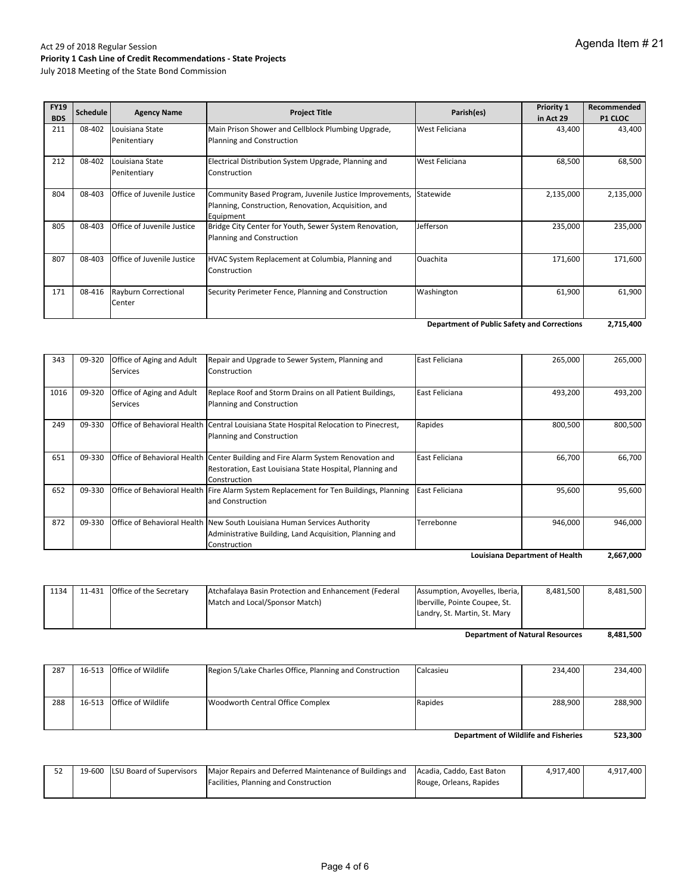| <b>FY19</b><br><b>BDS</b> | Schedule | <b>Agency Name</b>              | <b>Project Title</b>                                                                                                         | Parish(es)     | Priority 1<br>in Act 29 | Recommended<br><b>P1 CLOC</b> |
|---------------------------|----------|---------------------------------|------------------------------------------------------------------------------------------------------------------------------|----------------|-------------------------|-------------------------------|
| 211                       | 08-402   | Louisiana State<br>Penitentiary | Main Prison Shower and Cellblock Plumbing Upgrade,<br>Planning and Construction                                              | West Feliciana | 43,400                  | 43,400                        |
| 212                       | 08-402   | Louisiana State<br>Penitentiary | Electrical Distribution System Upgrade, Planning and<br>Construction                                                         | West Feliciana | 68,500                  | 68,500                        |
| 804                       | 08-403   | Office of Juvenile Justice      | Community Based Program, Juvenile Justice Improvements,<br>Planning, Construction, Renovation, Acquisition, and<br>Equipment | Statewide      | 2,135,000               | 2,135,000                     |
| 805                       | 08-403   | Office of Juvenile Justice      | Bridge City Center for Youth, Sewer System Renovation,<br>Planning and Construction                                          | Jefferson      | 235,000                 | 235,000                       |
| 807                       | 08-403   | Office of Juvenile Justice      | HVAC System Replacement at Columbia, Planning and<br>Construction                                                            | Ouachita       | 171,600                 | 171,600                       |
| 171                       | 08-416   | Rayburn Correctional<br>Center  | Security Perimeter Fence, Planning and Construction                                                                          | Washington     | 61,900                  | 61,900                        |

**2,715,400 Department of Public Safety and Corrections**

| 343  | 09-320 | <b>Office of Aging and Adult</b><br><b>Services</b> | Repair and Upgrade to Sewer System, Planning and<br>Construction                                         | East Feliciana | 265,000                               | 265,000   |
|------|--------|-----------------------------------------------------|----------------------------------------------------------------------------------------------------------|----------------|---------------------------------------|-----------|
|      |        |                                                     |                                                                                                          |                |                                       |           |
| 1016 | 09-320 | <b>Office of Aging and Adult</b>                    | Replace Roof and Storm Drains on all Patient Buildings,                                                  | East Feliciana | 493,200                               | 493,200   |
|      |        | <b>Services</b>                                     | Planning and Construction                                                                                |                |                                       |           |
| 249  | 09-330 |                                                     | Office of Behavioral Health Central Louisiana State Hospital Relocation to Pinecrest,                    | Rapides        | 800,500                               | 800,500   |
|      |        |                                                     | Planning and Construction                                                                                |                |                                       |           |
| 651  | 09-330 |                                                     | Office of Behavioral Health Center Building and Fire Alarm System Renovation and                         | East Feliciana | 66,700                                | 66,700    |
|      |        |                                                     | Restoration, East Louisiana State Hospital, Planning and                                                 |                |                                       |           |
|      |        |                                                     | Construction                                                                                             |                |                                       |           |
| 652  | 09-330 |                                                     | Office of Behavioral Health   Fire Alarm System Replacement for Ten Buildings, Planning   East Feliciana |                | 95,600                                | 95,600    |
|      |        |                                                     | and Construction                                                                                         |                |                                       |           |
| 872  | 09-330 |                                                     | <b>Office of Behavioral Health New South Louisiana Human Services Authority</b>                          | Terrebonne     | 946,000                               | 946,000   |
|      |        |                                                     | Administrative Building, Land Acquisition, Planning and                                                  |                |                                       |           |
|      |        |                                                     | Construction                                                                                             |                |                                       |           |
|      |        |                                                     |                                                                                                          |                | <b>Louisiana Department of Health</b> | 2,667,000 |

|      |                                |                                                       | Landry, St. Martin, St. Mary   |           |           |
|------|--------------------------------|-------------------------------------------------------|--------------------------------|-----------|-----------|
|      |                                | Match and Local/Sponsor Match)                        | Iberville, Pointe Coupee, St.  |           |           |
| 1134 | 11-431 Office of the Secretary | Atchafalaya Basin Protection and Enhancement (Federal | Assumption, Avoyelles, Iberia, | 8.481.500 | 8.481.500 |

**8,481,500 Department of Natural Resources**

| 287                                  |  | 16-513 Office of Wildlife | Region 5/Lake Charles Office, Planning and Construction | Calcasieu | 234.400 | 234.400 |
|--------------------------------------|--|---------------------------|---------------------------------------------------------|-----------|---------|---------|
|                                      |  |                           |                                                         |           |         |         |
|                                      |  |                           |                                                         |           |         |         |
|                                      |  |                           |                                                         |           |         |         |
| 288                                  |  | 16-513 Office of Wildlife | Woodworth Central Office Complex                        | Rapides   | 288.900 | 288,900 |
|                                      |  |                           |                                                         |           |         |         |
|                                      |  |                           |                                                         |           |         |         |
| Department of Wildlife and Fisheries |  |                           |                                                         |           | 523.300 |         |

52 | 19‐600 | LSU Board of Supervisors | Major Repairs and Deferred Maintenance of Buildings and Facilities, Planning and Construction Acadia, Caddo, East Baton Rouge, Orleans, Rapides 4,917,400 4,917,400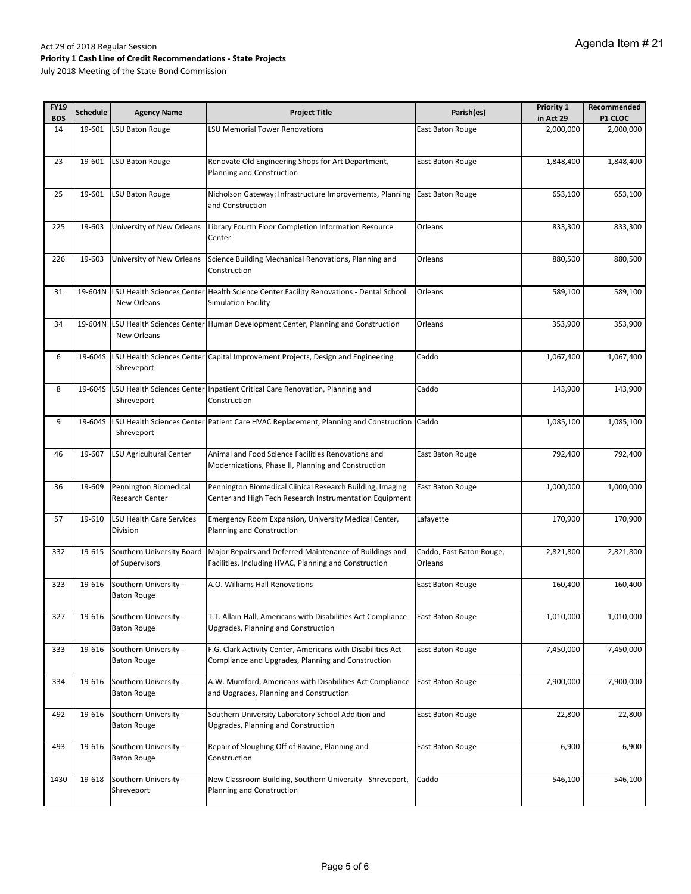| <b>FY19</b><br><b>BDS</b> | <b>Schedule</b> | <b>Agency Name</b>                              | <b>Project Title</b>                                                                                                                         | Parish(es)                          | Priority 1<br>in Act 29 | Recommended<br><b>P1 CLOC</b> |
|---------------------------|-----------------|-------------------------------------------------|----------------------------------------------------------------------------------------------------------------------------------------------|-------------------------------------|-------------------------|-------------------------------|
| 14                        | 19-601          | LSU Baton Rouge                                 | <b>LSU Memorial Tower Renovations</b>                                                                                                        | East Baton Rouge                    | 2,000,000               | 2,000,000                     |
| 23                        | 19-601          | <b>LSU Baton Rouge</b>                          | Renovate Old Engineering Shops for Art Department,<br>Planning and Construction                                                              | East Baton Rouge                    | 1,848,400               | 1,848,400                     |
| 25                        | 19-601          | LSU Baton Rouge                                 | Nicholson Gateway: Infrastructure Improvements, Planning<br>and Construction                                                                 | East Baton Rouge                    | 653,100                 | 653,100                       |
| 225                       | 19-603          | University of New Orleans                       | Library Fourth Floor Completion Information Resource<br>Center                                                                               | Orleans                             | 833,300                 | 833,300                       |
| 226                       | 19-603          | University of New Orleans                       | Science Building Mechanical Renovations, Planning and<br>Construction                                                                        | Orleans                             | 880,500                 | 880,500                       |
| 31                        | 19-604N         | New Orleans                                     | LSU Health Sciences Center Health Science Center Facility Renovations - Dental School<br><b>Simulation Facility</b>                          | Orleans                             | 589,100                 | 589,100                       |
| 34                        | 19-604N         | New Orleans                                     | LSU Health Sciences Center Human Development Center, Planning and Construction                                                               | Orleans                             | 353,900                 | 353,900                       |
| 6                         | 19-604S         | Shreveport                                      | LSU Health Sciences Center Capital Improvement Projects, Design and Engineering                                                              | Caddo                               | 1,067,400               | 1,067,400                     |
| 8                         | 19-604S         | Shreveport                                      | LSU Health Sciences Center Inpatient Critical Care Renovation, Planning and<br>Construction                                                  | Caddo                               | 143,900                 | 143,900                       |
| 9                         | 19-604S         | Shreveport                                      | LSU Health Sciences Center Patient Care HVAC Replacement, Planning and Construction Caddo                                                    |                                     | 1,085,100               | 1,085,100                     |
| 46                        | 19-607          | LSU Agricultural Center                         | Animal and Food Science Facilities Renovations and<br>Modernizations, Phase II, Planning and Construction                                    | East Baton Rouge                    | 792,400                 | 792,400                       |
| 36                        | 19-609          | Pennington Biomedical<br><b>Research Center</b> | Pennington Biomedical Clinical Research Building, Imaging<br>Center and High Tech Research Instrumentation Equipment                         | East Baton Rouge                    | 1,000,000               | 1,000,000                     |
| 57                        | 19-610          | <b>LSU Health Care Services</b><br>Division     | Emergency Room Expansion, University Medical Center,<br>Planning and Construction                                                            | Lafayette                           | 170,900                 | 170,900                       |
| 332                       | 19-615          | of Supervisors                                  | Southern University Board   Major Repairs and Deferred Maintenance of Buildings and<br>Facilities, Including HVAC, Planning and Construction | Caddo, East Baton Rouge,<br>Orleans | 2,821,800               | 2,821,800                     |
| 323                       | 19-616          | Southern University -<br><b>Baton Rouge</b>     | A.O. Williams Hall Renovations                                                                                                               | East Baton Rouge                    | 160,400                 | 160,400                       |
| 327                       | 19-616          | Southern University -<br><b>Baton Rouge</b>     | T.T. Allain Hall, Americans with Disabilities Act Compliance<br>Upgrades, Planning and Construction                                          | East Baton Rouge                    | 1,010,000               | 1,010,000                     |
| 333                       | 19-616          | Southern University -<br><b>Baton Rouge</b>     | F.G. Clark Activity Center, Americans with Disabilities Act<br>Compliance and Upgrades, Planning and Construction                            | East Baton Rouge                    | 7,450,000               | 7,450,000                     |
| 334                       | 19-616          | Southern University -<br><b>Baton Rouge</b>     | A.W. Mumford, Americans with Disabilities Act Compliance<br>and Upgrades, Planning and Construction                                          | East Baton Rouge                    | 7,900,000               | 7,900,000                     |
| 492                       | 19-616          | Southern University -<br><b>Baton Rouge</b>     | Southern University Laboratory School Addition and<br>Upgrades, Planning and Construction                                                    | East Baton Rouge                    | 22,800                  | 22,800                        |
| 493                       | 19-616          | Southern University -<br><b>Baton Rouge</b>     | Repair of Sloughing Off of Ravine, Planning and<br>Construction                                                                              | East Baton Rouge                    | 6,900                   | 6,900                         |
| 1430                      | 19-618          | Southern University -<br>Shreveport             | New Classroom Building, Southern University - Shreveport,<br>Planning and Construction                                                       | Caddo                               | 546,100                 | 546,100                       |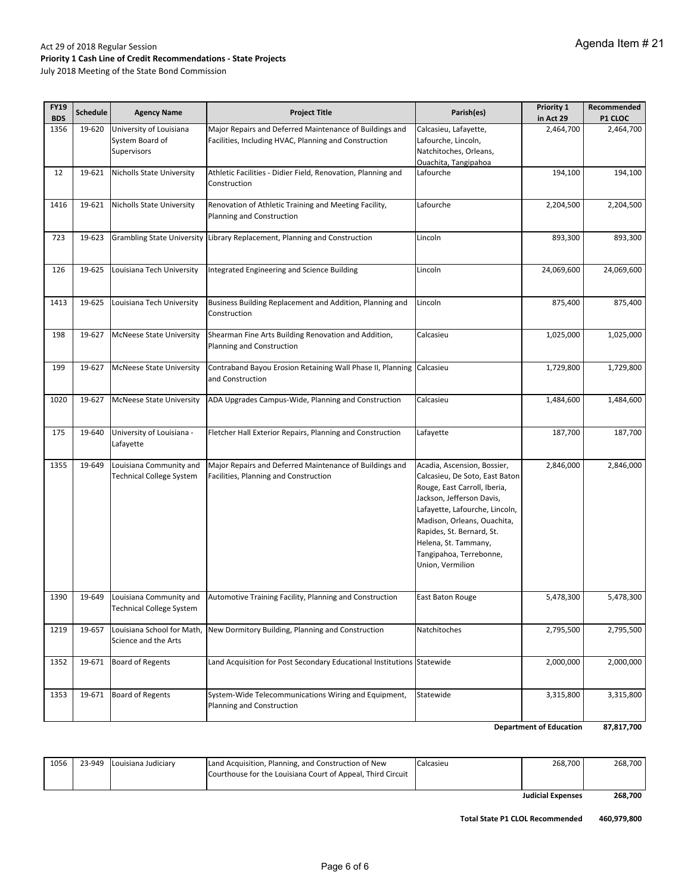| July 2018 Meeting of the State Bond Commission |  |
|------------------------------------------------|--|
|------------------------------------------------|--|

| <b>FY19</b><br><b>BDS</b> | <b>Schedule</b> | <b>Agency Name</b>                                        | <b>Project Title</b>                                                                                             | Parish(es)                                                                                                                                                                                                                                                                                      | Priority 1<br>in Act 29 | Recommended<br>P1 CLOC |
|---------------------------|-----------------|-----------------------------------------------------------|------------------------------------------------------------------------------------------------------------------|-------------------------------------------------------------------------------------------------------------------------------------------------------------------------------------------------------------------------------------------------------------------------------------------------|-------------------------|------------------------|
| 1356                      | 19-620          | University of Louisiana<br>System Board of<br>Supervisors | Major Repairs and Deferred Maintenance of Buildings and<br>Facilities, Including HVAC, Planning and Construction | Calcasieu, Lafayette,<br>Lafourche, Lincoln,<br>Natchitoches, Orleans,<br>Ouachita, Tangipahoa                                                                                                                                                                                                  | 2,464,700               | 2,464,700              |
| 12                        | 19-621          | Nicholls State University                                 | Athletic Facilities - Didier Field, Renovation, Planning and<br>Construction                                     | Lafourche                                                                                                                                                                                                                                                                                       | 194,100                 | 194,100                |
| 1416                      | 19-621          | <b>Nicholls State University</b>                          | Renovation of Athletic Training and Meeting Facility,<br>Planning and Construction                               | Lafourche                                                                                                                                                                                                                                                                                       | 2,204,500               | 2,204,500              |
| 723                       | 19-623          | <b>Grambling State University</b>                         | Library Replacement, Planning and Construction                                                                   | Lincoln                                                                                                                                                                                                                                                                                         | 893,300                 | 893,300                |
| 126                       | 19-625          | Louisiana Tech University                                 | Integrated Engineering and Science Building                                                                      | Lincoln                                                                                                                                                                                                                                                                                         | 24,069,600              | 24,069,600             |
| 1413                      | 19-625          | Louisiana Tech University                                 | Business Building Replacement and Addition, Planning and<br>Construction                                         | Lincoln                                                                                                                                                                                                                                                                                         | 875,400                 | 875,400                |
| 198                       | 19-627          | <b>McNeese State University</b>                           | Shearman Fine Arts Building Renovation and Addition,<br>Planning and Construction                                | Calcasieu                                                                                                                                                                                                                                                                                       | 1,025,000               | 1,025,000              |
| 199                       | 19-627          | <b>McNeese State University</b>                           | Contraband Bayou Erosion Retaining Wall Phase II, Planning Calcasieu<br>and Construction                         |                                                                                                                                                                                                                                                                                                 | 1,729,800               | 1,729,800              |
| 1020                      | 19-627          | <b>McNeese State University</b>                           | ADA Upgrades Campus-Wide, Planning and Construction                                                              | Calcasieu                                                                                                                                                                                                                                                                                       | 1,484,600               | 1,484,600              |
| 175                       | 19-640          | University of Louisiana -<br>Lafayette                    | Fletcher Hall Exterior Repairs, Planning and Construction                                                        | Lafayette                                                                                                                                                                                                                                                                                       | 187,700                 | 187,700                |
| 1355                      | 19-649          | Louisiana Community and<br>Technical College System       | Major Repairs and Deferred Maintenance of Buildings and<br>Facilities, Planning and Construction                 | Acadia, Ascension, Bossier,<br>Calcasieu, De Soto, East Baton<br>Rouge, East Carroll, Iberia,<br>Jackson, Jefferson Davis,<br>Lafayette, Lafourche, Lincoln,<br>Madison, Orleans, Ouachita,<br>Rapides, St. Bernard, St.<br>Helena, St. Tammany,<br>Tangipahoa, Terrebonne,<br>Union, Vermilion | 2,846,000               | 2,846,000              |
| 1390                      | 19-649          | Louisiana Community and<br>Technical College System       | Automotive Training Facility, Planning and Construction                                                          | East Baton Rouge                                                                                                                                                                                                                                                                                | 5,478,300               | 5,478,300              |
| 1219                      | 19-657          | Louisiana School for Math,<br>Science and the Arts        | New Dormitory Building, Planning and Construction                                                                | Natchitoches                                                                                                                                                                                                                                                                                    | 2,795,500               | 2,795,500              |
| 1352                      | 19-671          | <b>Board of Regents</b>                                   | Land Acquisition for Post Secondary Educational Institutions Statewide                                           |                                                                                                                                                                                                                                                                                                 | 2,000,000               | 2,000,000              |
| 1353                      | 19-671          | <b>Board of Regents</b>                                   | System-Wide Telecommunications Wiring and Equipment,<br>Planning and Construction                                | Statewide                                                                                                                                                                                                                                                                                       | 3,315,800               | 3,315,800              |

**87,817,700 Department of Education**

|      |                            |                                                             |           | <b>Judicial Expenses</b> | 268.700 |
|------|----------------------------|-------------------------------------------------------------|-----------|--------------------------|---------|
|      |                            | Courthouse for the Louisiana Court of Appeal, Third Circuit |           |                          |         |
| 1056 | 23-949 Louisiana Judiciary | Land Acquisition, Planning, and Construction of New         | Calcasieu | 268.700                  | 268.700 |

**460,979,800 Total State P1 CLOL Recommended**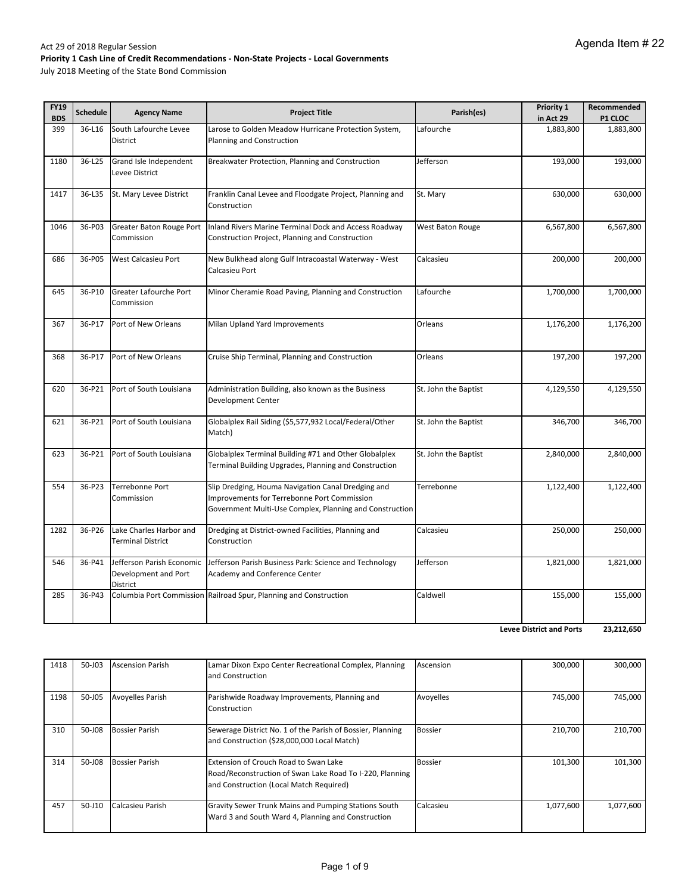July 2018 Meeting of the State Bond Commission

| <b>FY19</b><br><b>BDS</b> | <b>Schedule</b> | <b>Agency Name</b>                                            | <b>Project Title</b>                                                                                                                                         | Parish(es)              | Priority 1<br>in Act 29 | Recommended<br>P1 CLOC |
|---------------------------|-----------------|---------------------------------------------------------------|--------------------------------------------------------------------------------------------------------------------------------------------------------------|-------------------------|-------------------------|------------------------|
| 399                       | 36-L16          | South Lafourche Levee                                         | Larose to Golden Meadow Hurricane Protection System,                                                                                                         | Lafourche               | 1,883,800               | 1,883,800              |
|                           |                 | District                                                      | Planning and Construction                                                                                                                                    |                         |                         |                        |
| 1180                      | 36-L25          | Grand Isle Independent                                        | Breakwater Protection, Planning and Construction                                                                                                             | Jefferson               | 193,000                 | 193,000                |
|                           |                 | Levee District                                                |                                                                                                                                                              |                         |                         |                        |
| 1417                      | 36-L35          | St. Mary Levee District                                       | Franklin Canal Levee and Floodgate Project, Planning and<br>Construction                                                                                     | St. Mary                | 630,000                 | 630,000                |
| 1046                      | 36-P03          | Greater Baton Rouge Port                                      | Inland Rivers Marine Terminal Dock and Access Roadway                                                                                                        | <b>West Baton Rouge</b> | 6,567,800               | 6,567,800              |
|                           |                 | Commission                                                    | Construction Project, Planning and Construction                                                                                                              |                         |                         |                        |
| 686                       | 36-P05          | West Calcasieu Port                                           | New Bulkhead along Gulf Intracoastal Waterway - West<br>Calcasieu Port                                                                                       | Calcasieu               | 200,000                 | 200,000                |
| 645                       | 36-P10          | Greater Lafourche Port<br>Commission                          | Minor Cheramie Road Paving, Planning and Construction                                                                                                        | Lafourche               | 1,700,000               | 1,700,000              |
| 367                       | 36-P17          | Port of New Orleans                                           | Milan Upland Yard Improvements                                                                                                                               | Orleans                 | 1,176,200               | 1,176,200              |
| 368                       | 36-P17          | Port of New Orleans                                           | Cruise Ship Terminal, Planning and Construction                                                                                                              | Orleans                 | 197,200                 | 197,200                |
| 620                       | 36-P21          | Port of South Louisiana                                       | Administration Building, also known as the Business<br>Development Center                                                                                    | St. John the Baptist    | 4,129,550               | 4,129,550              |
| 621                       | 36-P21          | Port of South Louisiana                                       | Globalplex Rail Siding (\$5,577,932 Local/Federal/Other<br>Match)                                                                                            | St. John the Baptist    | 346,700                 | 346,700                |
| 623                       | 36-P21          | Port of South Louisiana                                       | Globalplex Terminal Building #71 and Other Globalplex<br>Terminal Building Upgrades, Planning and Construction                                               | St. John the Baptist    | 2,840,000               | 2,840,000              |
| 554                       | 36-P23          | Terrebonne Port<br>Commission                                 | Slip Dredging, Houma Navigation Canal Dredging and<br>Improvements for Terrebonne Port Commission<br>Government Multi-Use Complex, Planning and Construction | Terrebonne              | 1,122,400               | 1,122,400              |
| 1282                      | 36-P26          | Lake Charles Harbor and<br><b>Terminal District</b>           | Dredging at District-owned Facilities, Planning and<br>Construction                                                                                          | Calcasieu               | 250,000                 | 250,000                |
| 546                       | 36-P41          | Jefferson Parish Economic<br>Development and Port<br>District | Jefferson Parish Business Park: Science and Technology<br><b>Academy and Conference Center</b>                                                               | Jefferson               | 1,821,000               | 1,821,000              |
| 285                       | 36-P43          |                                                               | Columbia Port Commission Railroad Spur, Planning and Construction                                                                                            | Caldwell                | 155,000                 | 155,000                |

**23,212,650 Levee District and Ports**

| 1418 | 50-J03 | <b>Ascension Parish</b> | Lamar Dixon Expo Center Recreational Complex, Planning<br>and Construction                                                                   | Ascension      | 300.000   | 300,000   |
|------|--------|-------------------------|----------------------------------------------------------------------------------------------------------------------------------------------|----------------|-----------|-----------|
| 1198 | 50-J05 | <b>Avoyelles Parish</b> | Parishwide Roadway Improvements, Planning and<br>Construction                                                                                | Avoyelles      | 745,000   | 745,000   |
| 310  | 50-J08 | <b>Bossier Parish</b>   | Sewerage District No. 1 of the Parish of Bossier, Planning<br>and Construction (\$28,000,000 Local Match)                                    | <b>Bossier</b> | 210.700   | 210.700   |
| 314  | 50-J08 | <b>Bossier Parish</b>   | Extension of Crouch Road to Swan Lake<br>Road/Reconstruction of Swan Lake Road To I-220, Planning<br>and Construction (Local Match Required) | <b>Bossier</b> | 101,300   | 101,300   |
| 457  | 50-J10 | Calcasieu Parish        | <b>Gravity Sewer Trunk Mains and Pumping Stations South</b><br>Ward 3 and South Ward 4, Planning and Construction                            | Calcasieu      | 1,077,600 | 1,077,600 |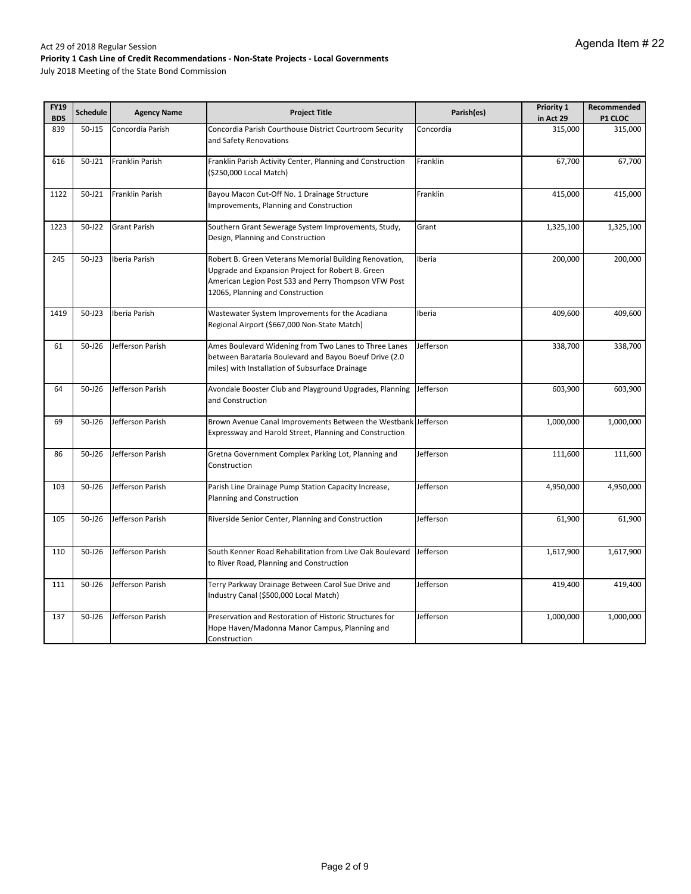| <b>FY19</b><br><b>BDS</b> | <b>Schedule</b> | <b>Agency Name</b>  | <b>Project Title</b>                                                                                                                                                                                    | Parish(es) | Priority 1           | Recommended        |
|---------------------------|-----------------|---------------------|---------------------------------------------------------------------------------------------------------------------------------------------------------------------------------------------------------|------------|----------------------|--------------------|
| 839                       | $50 - J15$      | Concordia Parish    | Concordia Parish Courthouse District Courtroom Security                                                                                                                                                 | Concordia  | in Act 29<br>315,000 | P1 CLOC<br>315,000 |
|                           |                 |                     | and Safety Renovations                                                                                                                                                                                  |            |                      |                    |
| 616                       | 50-J21          | Franklin Parish     | Franklin Parish Activity Center, Planning and Construction                                                                                                                                              | Franklin   | 67,700               | 67,700             |
|                           |                 |                     | (\$250,000 Local Match)                                                                                                                                                                                 |            |                      |                    |
| 1122                      | 50-J21          | Franklin Parish     | Bayou Macon Cut-Off No. 1 Drainage Structure<br>Improvements, Planning and Construction                                                                                                                 | Franklin   | 415,000              | 415,000            |
| 1223                      | 50-J22          | <b>Grant Parish</b> | Southern Grant Sewerage System Improvements, Study,<br>Design, Planning and Construction                                                                                                                | Grant      | 1,325,100            | 1,325,100          |
| 245                       | 50-J23          | Iberia Parish       | Robert B. Green Veterans Memorial Building Renovation,<br>Upgrade and Expansion Project for Robert B. Green<br>American Legion Post 533 and Perry Thompson VFW Post<br>12065, Planning and Construction | Iberia     | 200,000              | 200,000            |
| 1419                      | $50 - J23$      | Iberia Parish       | Wastewater System Improvements for the Acadiana<br>Regional Airport (\$667,000 Non-State Match)                                                                                                         | Iberia     | 409,600              | 409,600            |
| 61                        | 50-J26          | Jefferson Parish    | Ames Boulevard Widening from Two Lanes to Three Lanes<br>between Barataria Boulevard and Bayou Boeuf Drive (2.0<br>miles) with Installation of Subsurface Drainage                                      | Jefferson  | 338,700              | 338,700            |
| 64                        | $50 - 126$      | Jefferson Parish    | Avondale Booster Club and Playground Upgrades, Planning<br>and Construction                                                                                                                             | Jefferson  | 603,900              | 603,900            |
| 69                        | $50 - 126$      | Jefferson Parish    | Brown Avenue Canal Improvements Between the Westbank Jefferson<br>Expressway and Harold Street, Planning and Construction                                                                               |            | 1,000,000            | 1,000,000          |
| 86                        | $50 - 126$      | Jefferson Parish    | Gretna Government Complex Parking Lot, Planning and<br>Construction                                                                                                                                     | Jefferson  | 111,600              | 111,600            |
| 103                       | $50 - 126$      | Jefferson Parish    | Parish Line Drainage Pump Station Capacity Increase,<br>Planning and Construction                                                                                                                       | Jefferson  | 4,950,000            | 4,950,000          |
| 105                       | $50 - 126$      | Jefferson Parish    | Riverside Senior Center, Planning and Construction                                                                                                                                                      | Jefferson  | 61,900               | 61,900             |
| 110                       | 50-J26          | Jefferson Parish    | South Kenner Road Rehabilitation from Live Oak Boulevard<br>to River Road, Planning and Construction                                                                                                    | Jefferson  | 1,617,900            | 1,617,900          |
| 111                       | 50-J26          | Jefferson Parish    | Terry Parkway Drainage Between Carol Sue Drive and<br>Industry Canal (\$500,000 Local Match)                                                                                                            | Jefferson  | 419,400              | 419,400            |
| 137                       | 50-J26          | Jefferson Parish    | Preservation and Restoration of Historic Structures for<br>Hope Haven/Madonna Manor Campus, Planning and<br>Construction                                                                                | Jefferson  | 1,000,000            | 1,000,000          |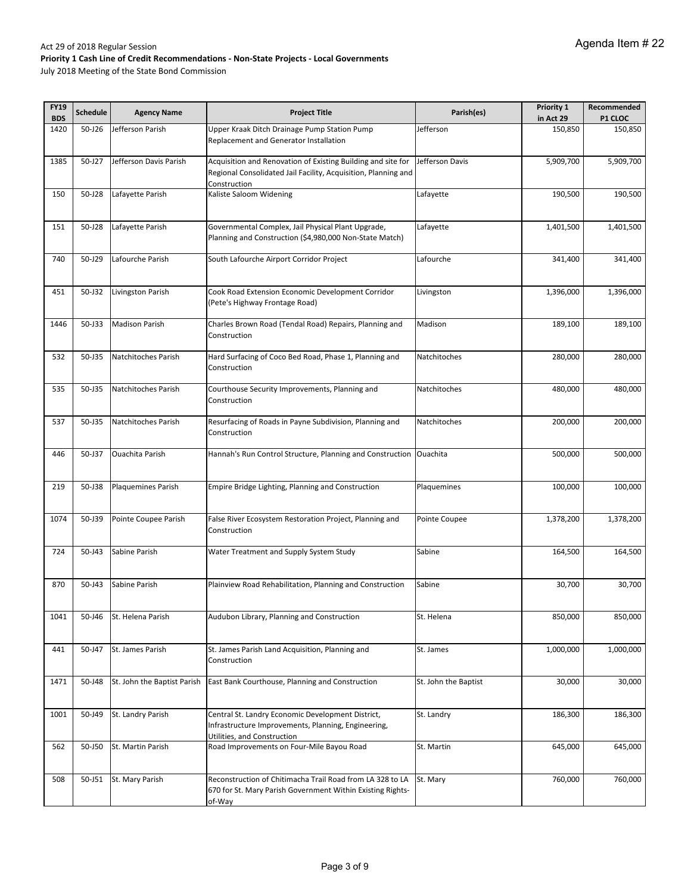| <b>FY19</b> | <b>Schedule</b> | <b>Agency Name</b>          | <b>Project Title</b>                                                                                                                           | Parish(es)           | Priority 1 | Recommended |
|-------------|-----------------|-----------------------------|------------------------------------------------------------------------------------------------------------------------------------------------|----------------------|------------|-------------|
| <b>BDS</b>  |                 |                             |                                                                                                                                                |                      | in Act 29  | P1 CLOC     |
| 1420        | 50-J26          | Jefferson Parish            | Upper Kraak Ditch Drainage Pump Station Pump<br>Replacement and Generator Installation                                                         | Jefferson            | 150,850    | 150,850     |
| 1385        | 50-J27          | Jefferson Davis Parish      | Acquisition and Renovation of Existing Building and site for<br>Regional Consolidated Jail Facility, Acquisition, Planning and<br>Construction | Jefferson Davis      | 5,909,700  | 5,909,700   |
| 150         | 50-J28          | Lafayette Parish            | Kaliste Saloom Widening                                                                                                                        | Lafayette            | 190,500    | 190,500     |
| 151         | 50-J28          | Lafayette Parish            | Governmental Complex, Jail Physical Plant Upgrade,<br>Planning and Construction (\$4,980,000 Non-State Match)                                  | Lafayette            | 1,401,500  | 1,401,500   |
| 740         | 50-J29          | Lafourche Parish            | South Lafourche Airport Corridor Project                                                                                                       | Lafourche            | 341,400    | 341,400     |
| 451         | 50-J32          | Livingston Parish           | Cook Road Extension Economic Development Corridor<br>(Pete's Highway Frontage Road)                                                            | Livingston           | 1,396,000  | 1,396,000   |
| 1446        | 50-J33          | <b>Madison Parish</b>       | Charles Brown Road (Tendal Road) Repairs, Planning and<br>Construction                                                                         | Madison              | 189,100    | 189,100     |
| 532         | 50-J35          | Natchitoches Parish         | Hard Surfacing of Coco Bed Road, Phase 1, Planning and<br>Construction                                                                         | Natchitoches         | 280,000    | 280,000     |
| 535         | 50-J35          | Natchitoches Parish         | Courthouse Security Improvements, Planning and<br>Construction                                                                                 | Natchitoches         | 480,000    | 480,000     |
| 537         | $50 - 135$      | Natchitoches Parish         | Resurfacing of Roads in Payne Subdivision, Planning and<br>Construction                                                                        | Natchitoches         | 200,000    | 200,000     |
| 446         | 50-J37          | <b>Ouachita Parish</b>      | Hannah's Run Control Structure, Planning and Construction                                                                                      | Ouachita             | 500,000    | 500,000     |
| 219         | 50-J38          | <b>Plaquemines Parish</b>   | Empire Bridge Lighting, Planning and Construction                                                                                              | Plaquemines          | 100,000    | 100,000     |
| 1074        | 50-J39          | Pointe Coupee Parish        | False River Ecosystem Restoration Project, Planning and<br>Construction                                                                        | Pointe Coupee        | 1,378,200  | 1,378,200   |
| 724         | 50-J43          | Sabine Parish               | Water Treatment and Supply System Study                                                                                                        | Sabine               | 164,500    | 164,500     |
| 870         | 50-J43          | Sabine Parish               | Plainview Road Rehabilitation, Planning and Construction                                                                                       | Sabine               | 30,700     | 30,700      |
| 1041        | 50-J46          | St. Helena Parish           | Audubon Library, Planning and Construction                                                                                                     | St. Helena           | 850,000    | 850,000     |
| 441         | 50-J47          | St. James Parish            | St. James Parish Land Acquisition, Planning and<br>Construction                                                                                | St. James            | 1,000,000  | 1,000,000   |
| 1471        | 50-J48          | St. John the Baptist Parish | East Bank Courthouse, Planning and Construction                                                                                                | St. John the Baptist | 30,000     | 30,000      |
| 1001        | 50-J49          | St. Landry Parish           | Central St. Landry Economic Development District,<br>Infrastructure Improvements, Planning, Engineering,<br>Utilities, and Construction        | St. Landry           | 186,300    | 186,300     |
| 562         | 50-J50          | St. Martin Parish           | Road Improvements on Four-Mile Bayou Road                                                                                                      | St. Martin           | 645,000    | 645,000     |
| 508         | 50-J51          | St. Mary Parish             | Reconstruction of Chitimacha Trail Road from LA 328 to LA<br>670 for St. Mary Parish Government Within Existing Rights-<br>of-Way              | St. Mary             | 760,000    | 760,000     |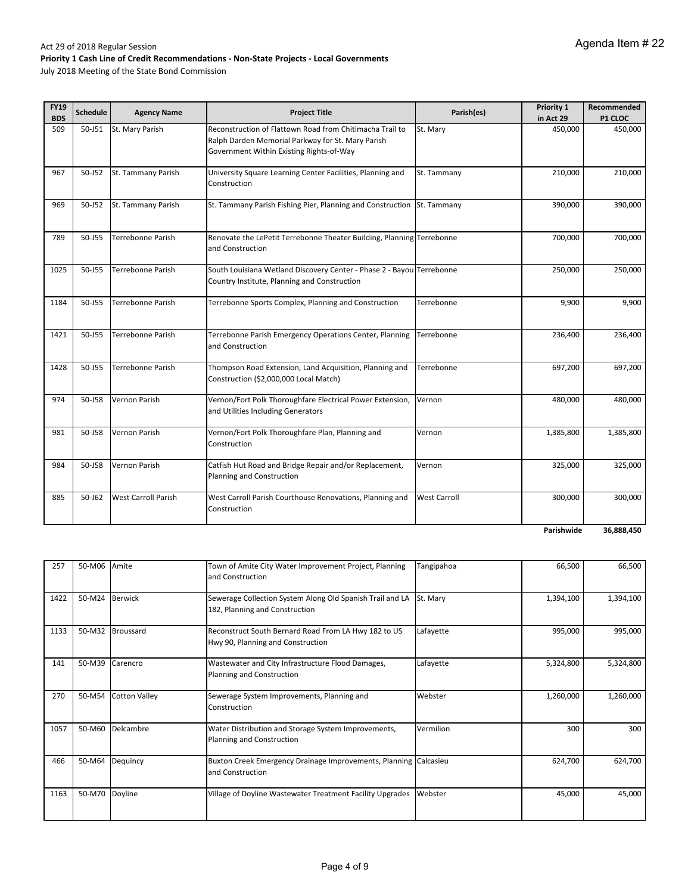July 2018 Meeting of the State Bond Commission

| <b>FY19</b><br><b>BDS</b> | <b>Schedule</b> | <b>Agency Name</b>         | <b>Project Title</b>                                                                                                                                      | Parish(es)          | Priority 1           | Recommended               |
|---------------------------|-----------------|----------------------------|-----------------------------------------------------------------------------------------------------------------------------------------------------------|---------------------|----------------------|---------------------------|
| 509                       | 50-J51          | St. Mary Parish            | Reconstruction of Flattown Road from Chitimacha Trail to<br>Ralph Darden Memorial Parkway for St. Mary Parish<br>Government Within Existing Rights-of-Way | St. Mary            | in Act 29<br>450,000 | <b>P1 CLOC</b><br>450,000 |
| 967                       | 50-J52          | St. Tammany Parish         | University Square Learning Center Facilities, Planning and<br>Construction                                                                                | St. Tammany         | 210,000              | 210,000                   |
| 969                       | 50-J52          | St. Tammany Parish         | St. Tammany Parish Fishing Pier, Planning and Construction St. Tammany                                                                                    |                     | 390,000              | 390,000                   |
| 789                       | 50-J55          | Terrebonne Parish          | Renovate the LePetit Terrebonne Theater Building, Planning Terrebonne<br>and Construction                                                                 |                     | 700,000              | 700,000                   |
| 1025                      | 50-J55          | Terrebonne Parish          | South Louisiana Wetland Discovery Center - Phase 2 - Bayou Terrebonne<br>Country Institute, Planning and Construction                                     |                     | 250,000              | 250,000                   |
| 1184                      | 50-J55          | Terrebonne Parish          | Terrebonne Sports Complex, Planning and Construction                                                                                                      | Terrebonne          | 9,900                | 9,900                     |
| 1421                      | 50-J55          | <b>Terrebonne Parish</b>   | Terrebonne Parish Emergency Operations Center, Planning<br>and Construction                                                                               | Terrebonne          | 236,400              | 236,400                   |
| 1428                      | 50-J55          | Terrebonne Parish          | Thompson Road Extension, Land Acquisition, Planning and<br>Construction (\$2,000,000 Local Match)                                                         | Terrebonne          | 697,200              | 697,200                   |
| 974                       | 50-J58          | Vernon Parish              | Vernon/Fort Polk Thoroughfare Electrical Power Extension,<br>and Utilities Including Generators                                                           | Vernon              | 480,000              | 480,000                   |
| 981                       | 50-J58          | Vernon Parish              | Vernon/Fort Polk Thoroughfare Plan, Planning and<br>Construction                                                                                          | Vernon              | 1,385,800            | 1,385,800                 |
| 984                       | 50-J58          | Vernon Parish              | Catfish Hut Road and Bridge Repair and/or Replacement,<br>Planning and Construction                                                                       | Vernon              | 325,000              | 325,000                   |
| 885                       | 50-J62          | <b>West Carroll Parish</b> | West Carroll Parish Courthouse Renovations, Planning and<br>Construction                                                                                  | <b>West Carroll</b> | 300,000              | 300,000                   |
|                           |                 |                            |                                                                                                                                                           |                     | Parishwide           | 36,888,450                |

**36,888,450**

| 257  | 50-M06 | Amite                | Town of Amite City Water Improvement Project, Planning<br>and Construction                  | Tangipahoa | 66,500    | 66,500    |
|------|--------|----------------------|---------------------------------------------------------------------------------------------|------------|-----------|-----------|
| 1422 | 50-M24 | <b>Berwick</b>       | Sewerage Collection System Along Old Spanish Trail and LA<br>182, Planning and Construction | St. Mary   | 1,394,100 | 1,394,100 |
| 1133 | 50-M32 | Broussard            | Reconstruct South Bernard Road From LA Hwy 182 to US<br>Hwy 90, Planning and Construction   | Lafayette  | 995,000   | 995,000   |
| 141  | 50-M39 | Carencro             | Wastewater and City Infrastructure Flood Damages,<br>Planning and Construction              | Lafayette  | 5,324,800 | 5,324,800 |
| 270  | 50-M54 | <b>Cotton Valley</b> | Sewerage System Improvements, Planning and<br>Construction                                  | Webster    | 1,260,000 | 1,260,000 |
| 1057 | 50-M60 | Delcambre            | Water Distribution and Storage System Improvements,<br>Planning and Construction            | Vermilion  | 300       | 300       |
| 466  | 50-M64 | Dequincy             | Buxton Creek Emergency Drainage Improvements, Planning<br>and Construction                  | Calcasieu  | 624,700   | 624,700   |
| 1163 | 50-M70 | Doyline              | Village of Doyline Wastewater Treatment Facility Upgrades                                   | Webster    | 45,000    | 45,000    |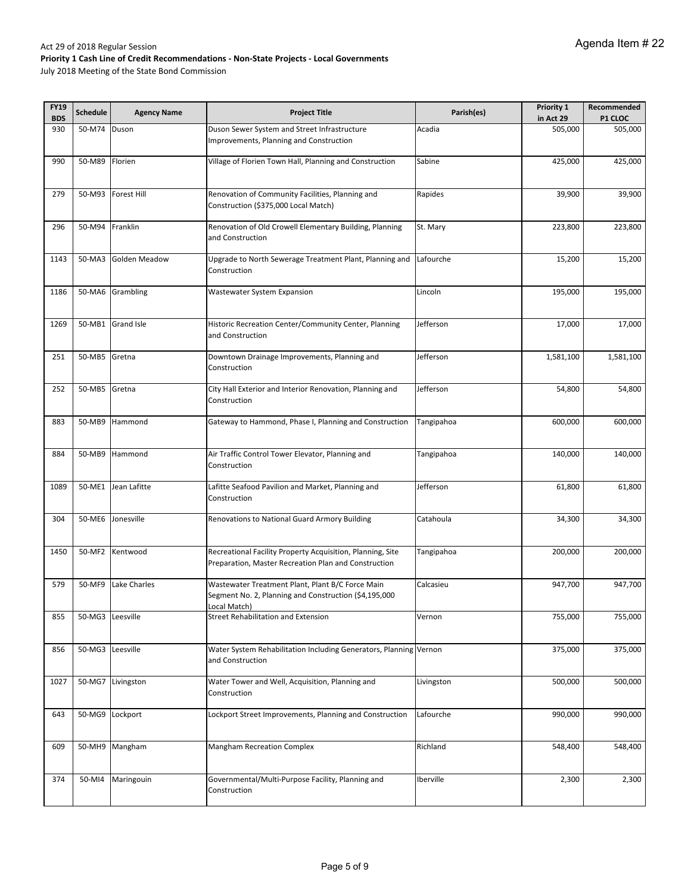| <b>FY19</b> | <b>Schedule</b>  | <b>Agency Name</b> | <b>Project Title</b>                                                                                                      | Parish(es) | Priority 1 | Recommended |
|-------------|------------------|--------------------|---------------------------------------------------------------------------------------------------------------------------|------------|------------|-------------|
| <b>BDS</b>  |                  |                    |                                                                                                                           |            | in Act 29  | P1 CLOC     |
| 930         | 50-M74           | Duson              | Duson Sewer System and Street Infrastructure<br>Improvements, Planning and Construction                                   | Acadia     | 505,000    | 505,000     |
| 990         | 50-M89           | Florien            | Village of Florien Town Hall, Planning and Construction                                                                   | Sabine     | 425,000    | 425,000     |
| 279         | 50-M93           | <b>Forest Hill</b> | Renovation of Community Facilities, Planning and<br>Construction (\$375,000 Local Match)                                  | Rapides    | 39,900     | 39,900      |
| 296         | 50-M94           | Franklin           | Renovation of Old Crowell Elementary Building, Planning<br>and Construction                                               | St. Mary   | 223,800    | 223,800     |
| 1143        | 50-MA3           | Golden Meadow      | Upgrade to North Sewerage Treatment Plant, Planning and<br>Construction                                                   | Lafourche  | 15,200     | 15,200      |
| 1186        |                  | 50-MA6 Grambling   | Wastewater System Expansion                                                                                               | Lincoln    | 195,000    | 195,000     |
| 1269        |                  | 50-MB1 Grand Isle  | Historic Recreation Center/Community Center, Planning<br>and Construction                                                 | Jefferson  | 17,000     | 17,000      |
| 251         | 50-MB5           | Gretna             | Downtown Drainage Improvements, Planning and<br>Construction                                                              | Jefferson  | 1,581,100  | 1,581,100   |
| 252         | 50-MB5           | Gretna             | City Hall Exterior and Interior Renovation, Planning and<br>Construction                                                  | Jefferson  | 54,800     | 54,800      |
| 883         | 50-MB9           | Hammond            | Gateway to Hammond, Phase I, Planning and Construction                                                                    | Tangipahoa | 600,000    | 600,000     |
| 884         |                  | 50-MB9 Hammond     | Air Traffic Control Tower Elevator, Planning and<br>Construction                                                          | Tangipahoa | 140,000    | 140,000     |
| 1089        | 50-ME1           | Jean Lafitte       | Lafitte Seafood Pavilion and Market, Planning and<br>Construction                                                         | Jefferson  | 61,800     | 61,800      |
| 304         | 50-ME6           | Jonesville         | Renovations to National Guard Armory Building                                                                             | Catahoula  | 34,300     | 34,300      |
| 1450        | 50-MF2           | Kentwood           | Recreational Facility Property Acquisition, Planning, Site<br>Preparation, Master Recreation Plan and Construction        | Tangipahoa | 200,000    | 200,000     |
| 579         | 50-MF9           | Lake Charles       | Wastewater Treatment Plant, Plant B/C Force Main<br>Segment No. 2, Planning and Construction (\$4,195,000<br>.ocal Match) | Calcasieu  | 947,700    | 947,700     |
| 855         | 50-MG3 Leesville |                    | Street Rehabilitation and Extension                                                                                       | Vernon     | 755,000    | 755,000     |
| 856         | 50-MG3 Leesville |                    | Water System Rehabilitation Including Generators, Planning Vernon<br>and Construction                                     |            | 375,000    | 375,000     |
| 1027        | 50-MG7           | Livingston         | Water Tower and Well, Acquisition, Planning and<br>Construction                                                           | Livingston | 500,000    | 500,000     |
| 643         | 50-MG9           | Lockport           | Lockport Street Improvements, Planning and Construction                                                                   | Lafourche  | 990,000    | 990,000     |
| 609         | 50-MH9           | Mangham            | <b>Mangham Recreation Complex</b>                                                                                         | Richland   | 548,400    | 548,400     |
| 374         | 50-MI4           | Maringouin         | Governmental/Multi-Purpose Facility, Planning and<br>Construction                                                         | Iberville  | 2,300      | 2,300       |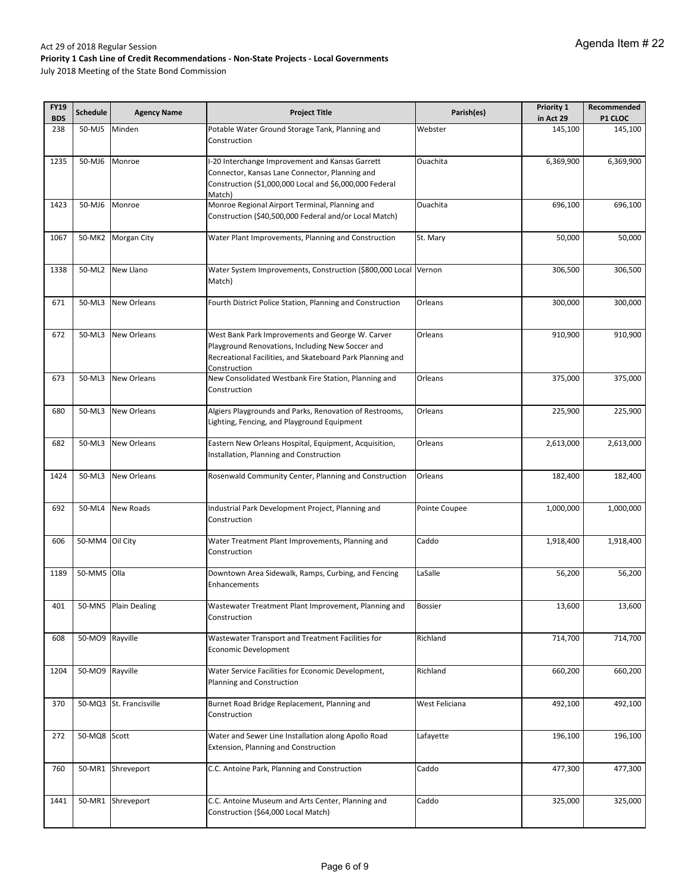| <b>FY19</b><br><b>BDS</b> | <b>Schedule</b> | <b>Agency Name</b>      | <b>Project Title</b>                                                                                                                                                  | Parish(es)     | Priority 1<br>in Act 29 | Recommended<br>P1 CLOC |
|---------------------------|-----------------|-------------------------|-----------------------------------------------------------------------------------------------------------------------------------------------------------------------|----------------|-------------------------|------------------------|
| 238                       | 50-MJ5          | Minden                  | Potable Water Ground Storage Tank, Planning and<br>Construction                                                                                                       | Webster        | 145,100                 | 145,100                |
| 1235                      | 50-MJ6          | Monroe                  | -20 Interchange Improvement and Kansas Garrett<br>Connector, Kansas Lane Connector, Planning and<br>Construction (\$1,000,000 Local and \$6,000,000 Federal<br>Match) | Ouachita       | 6,369,900               | 6,369,900              |
| 1423                      | 50-MJ6          | Monroe                  | Monroe Regional Airport Terminal, Planning and<br>Construction (\$40,500,000 Federal and/or Local Match)                                                              | Ouachita       | 696,100                 | 696,100                |
| 1067                      | 50-MK2          | <b>Morgan City</b>      | Water Plant Improvements, Planning and Construction                                                                                                                   | St. Mary       | 50,000                  | 50,000                 |
| 1338                      | 50-ML2          | New Llano               | Water System Improvements, Construction (\$800,000 Local Vernon<br>Match)                                                                                             |                | 306,500                 | 306,500                |
| 671                       | 50-ML3          | <b>New Orleans</b>      | Fourth District Police Station, Planning and Construction                                                                                                             | Orleans        | 300,000                 | 300,000                |
| 672                       | 50-ML3          | <b>New Orleans</b>      | West Bank Park Improvements and George W. Carver<br>Playground Renovations, Including New Soccer and<br>Recreational Facilities, and Skateboard Park Planning and     | Orleans        | 910,900                 | 910,900                |
| 673                       | 50-ML3          | <b>New Orleans</b>      | Construction<br>New Consolidated Westbank Fire Station, Planning and<br>Construction                                                                                  | Orleans        | 375,000                 | 375,000                |
| 680                       | 50-ML3          | <b>New Orleans</b>      | Algiers Playgrounds and Parks, Renovation of Restrooms,<br>Lighting, Fencing, and Playground Equipment                                                                | Orleans        | 225,900                 | 225,900                |
| 682                       | 50-ML3          | <b>New Orleans</b>      | Eastern New Orleans Hospital, Equipment, Acquisition,<br>Installation, Planning and Construction                                                                      | Orleans        | 2,613,000               | 2,613,000              |
| 1424                      | 50-ML3          | <b>New Orleans</b>      | Rosenwald Community Center, Planning and Construction                                                                                                                 | Orleans        | 182,400                 | 182,400                |
| 692                       |                 | 50-ML4 New Roads        | Industrial Park Development Project, Planning and<br>Construction                                                                                                     | Pointe Coupee  | 1,000,000               | 1,000,000              |
| 606                       | 50-MM4 Oil City |                         | Water Treatment Plant Improvements, Planning and<br>Construction                                                                                                      | Caddo          | 1,918,400               | 1,918,400              |
| 1189                      | 50-MM5 Olla     |                         | Downtown Area Sidewalk, Ramps, Curbing, and Fencing<br>Enhancements                                                                                                   | LaSalle        | 56,200                  | 56,200                 |
| 401                       |                 | 50-MN5 Plain Dealing    | Wastewater Treatment Plant Improvement, Planning and<br>Construction                                                                                                  | <b>Bossier</b> | 13,600                  | 13,600                 |
| 608                       | 50-MO9          | Rayville                | Wastewater Transport and Treatment Facilities for<br>Economic Development                                                                                             | Richland       | 714,700                 | 714,700                |
| 1204                      | 50-MO9          | Rayville                | Water Service Facilities for Economic Development,<br>Planning and Construction                                                                                       | Richland       | 660,200                 | 660,200                |
| 370                       |                 | 50-MQ3 St. Francisville | Burnet Road Bridge Replacement, Planning and<br>Construction                                                                                                          | West Feliciana | 492,100                 | 492,100                |
| 272                       | 50-MQ8 Scott    |                         | Water and Sewer Line Installation along Apollo Road<br><b>Extension, Planning and Construction</b>                                                                    | Lafayette      | 196,100                 | 196,100                |
| 760                       | 50-MR1          | Shreveport              | C.C. Antoine Park, Planning and Construction                                                                                                                          | Caddo          | 477,300                 | 477,300                |
| 1441                      | 50-MR1          | Shreveport              | C.C. Antoine Museum and Arts Center, Planning and<br>Construction (\$64,000 Local Match)                                                                              | Caddo          | 325,000                 | 325,000                |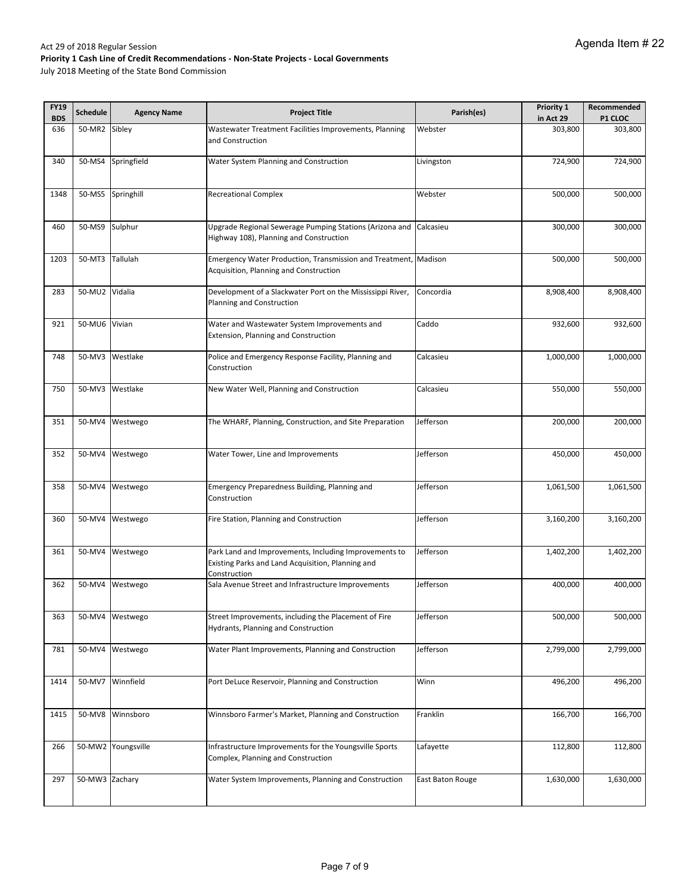| <b>FY19</b> | <b>Schedule</b> | <b>Agency Name</b> | <b>Project Title</b>                                                                                                       | Parish(es)       | Priority 1 | Recommended |
|-------------|-----------------|--------------------|----------------------------------------------------------------------------------------------------------------------------|------------------|------------|-------------|
| <b>BDS</b>  |                 |                    |                                                                                                                            |                  | in Act 29  | P1 CLOC     |
| 636         | 50-MR2          | Sibley             | Wastewater Treatment Facilities Improvements, Planning<br>and Construction                                                 | Webster          | 303,800    | 303,800     |
| 340         | 50-MS4          | Springfield        | Water System Planning and Construction                                                                                     | Livingston       | 724,900    | 724,900     |
| 1348        | 50-MS5          | Springhill         | <b>Recreational Complex</b>                                                                                                | Webster          | 500,000    | 500,000     |
| 460         | 50-MS9          | Sulphur            | Upgrade Regional Sewerage Pumping Stations (Arizona and<br>Highway 108), Planning and Construction                         | Calcasieu        | 300,000    | 300,000     |
| 1203        | 50-MT3          | Tallulah           | Emergency Water Production, Transmission and Treatment, Madison<br>Acquisition, Planning and Construction                  |                  | 500,000    | 500,000     |
| 283         | 50-MU2 Vidalia  |                    | Development of a Slackwater Port on the Mississippi River,<br>Planning and Construction                                    | Concordia        | 8,908,400  | 8,908,400   |
| 921         | 50-MU6 Vivian   |                    | Water and Wastewater System Improvements and<br>Extension, Planning and Construction                                       | Caddo            | 932,600    | 932,600     |
| 748         | 50-MV3          | Westlake           | Police and Emergency Response Facility, Planning and<br>Construction                                                       | Calcasieu        | 1,000,000  | 1,000,000   |
| 750         | 50-MV3          | Westlake           | New Water Well, Planning and Construction                                                                                  | Calcasieu        | 550,000    | 550,000     |
| 351         | 50-MV4          | Westwego           | The WHARF, Planning, Construction, and Site Preparation                                                                    | Jefferson        | 200,000    | 200,000     |
| 352         | 50-MV4          | Westwego           | Water Tower, Line and Improvements                                                                                         | Jefferson        | 450,000    | 450,000     |
| 358         | 50-MV4          | Westwego           | Emergency Preparedness Building, Planning and<br>Construction                                                              | Jefferson        | 1,061,500  | 1,061,500   |
| 360         | 50-MV4          | Westwego           | Fire Station, Planning and Construction                                                                                    | Jefferson        | 3,160,200  | 3,160,200   |
| 361         | 50-MV4          | Westwego           | Park Land and Improvements, Including Improvements to<br>Existing Parks and Land Acquisition, Planning and<br>Construction | Jefferson        | 1,402,200  | 1,402,200   |
| 362         | 50-MV4          | Westwego           | Sala Avenue Street and Infrastructure Improvements                                                                         | Jefferson        | 400,000    | 400,000     |
| 363         | 50-MV4          | Westwego           | Street Improvements, including the Placement of Fire<br><b>Hydrants, Planning and Construction</b>                         | Jefferson        | 500,000    | 500,000     |
| 781         | 50-MV4          | Westwego           | Water Plant Improvements, Planning and Construction                                                                        | Jefferson        | 2,799,000  | 2,799,000   |
| 1414        | 50-MV7          | Winnfield          | Port DeLuce Reservoir, Planning and Construction                                                                           | Winn             | 496,200    | 496,200     |
| 1415        | 50-MV8          | Winnsboro          | Winnsboro Farmer's Market, Planning and Construction                                                                       | Franklin         | 166,700    | 166,700     |
| 266         | 50-MW2          | Youngsville        | Infrastructure Improvements for the Youngsville Sports<br>Complex, Planning and Construction                               | Lafayette        | 112,800    | 112,800     |
| 297         | 50-MW3 Zachary  |                    | Water System Improvements, Planning and Construction                                                                       | East Baton Rouge | 1,630,000  | 1,630,000   |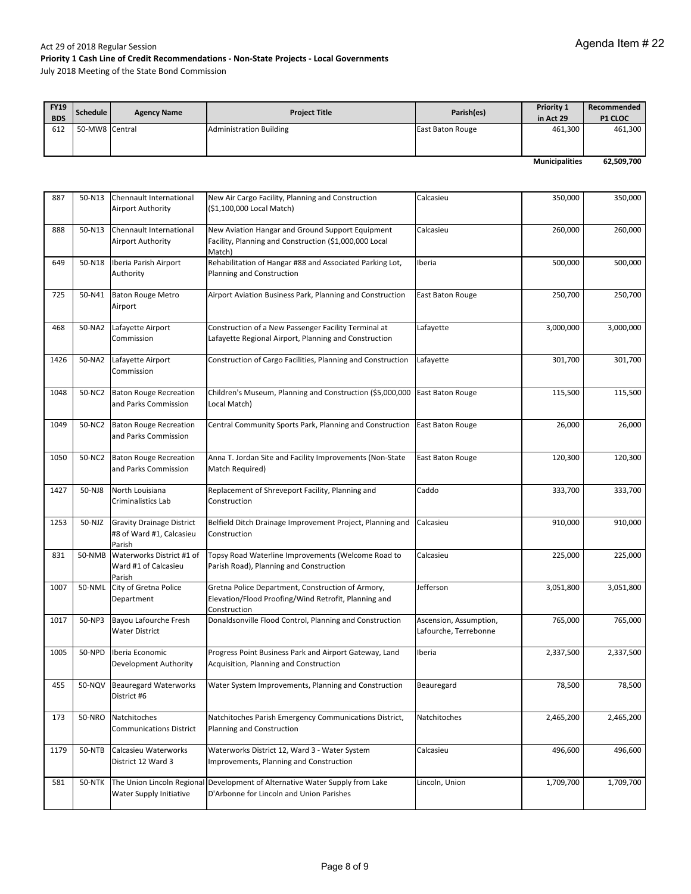| <b>FY19</b><br><b>BDS</b> | Schedule       | <b>Agency Name</b> | <b>Project Title</b>           | Parish(es)       | <b>Priority 1</b><br>in Act 29 | Recommended<br>P1 CLOC |
|---------------------------|----------------|--------------------|--------------------------------|------------------|--------------------------------|------------------------|
| 612                       | 50-MW8 Central |                    | <b>Administration Building</b> | East Baton Rouge | 461,300                        | 461,300                |
|                           |                |                    |                                |                  |                                |                        |
|                           |                |                    |                                |                  |                                |                        |
|                           |                |                    |                                |                  | <b>Municipalities</b>          | 62,509,700             |

| 887  | 50-N13 | Chennault International<br><b>Airport Authority</b>                    | New Air Cargo Facility, Planning and Construction<br>(\$1,100,000 Local Match)                                            | Calcasieu                                       | 350,000   | 350,000   |
|------|--------|------------------------------------------------------------------------|---------------------------------------------------------------------------------------------------------------------------|-------------------------------------------------|-----------|-----------|
| 888  | 50-N13 | Chennault International<br>Airport Authority                           | New Aviation Hangar and Ground Support Equipment<br>Facility, Planning and Construction (\$1,000,000 Local<br>Match)      | Calcasieu                                       | 260,000   | 260,000   |
| 649  | 50-N18 | Iberia Parish Airport<br>Authority                                     | Rehabilitation of Hangar #88 and Associated Parking Lot,<br>Planning and Construction                                     | Iberia                                          | 500,000   | 500,000   |
| 725  | 50-N41 | <b>Baton Rouge Metro</b><br>Airport                                    | Airport Aviation Business Park, Planning and Construction                                                                 | East Baton Rouge                                | 250,700   | 250,700   |
| 468  | 50-NA2 | Lafayette Airport<br>Commission                                        | Construction of a New Passenger Facility Terminal at<br>Lafayette Regional Airport, Planning and Construction             | Lafayette                                       | 3,000,000 | 3,000,000 |
| 1426 | 50-NA2 | Lafayette Airport<br>Commission                                        | Construction of Cargo Facilities, Planning and Construction                                                               | Lafayette                                       | 301,700   | 301,700   |
| 1048 | 50-NC2 | <b>Baton Rouge Recreation</b><br>and Parks Commission                  | Children's Museum, Planning and Construction (\$5,000,000<br>Local Match)                                                 | East Baton Rouge                                | 115,500   | 115,500   |
| 1049 | 50-NC2 | <b>Baton Rouge Recreation</b><br>and Parks Commission                  | Central Community Sports Park, Planning and Construction                                                                  | East Baton Rouge                                | 26,000    | 26,000    |
| 1050 | 50-NC2 | <b>Baton Rouge Recreation</b><br>and Parks Commission                  | Anna T. Jordan Site and Facility Improvements (Non-State<br>Match Required)                                               | East Baton Rouge                                | 120,300   | 120,300   |
| 1427 | 50-NJ8 | North Louisiana<br>Criminalistics Lab                                  | Replacement of Shreveport Facility, Planning and<br>Construction                                                          | Caddo                                           | 333,700   | 333,700   |
| 1253 | 50-NJZ | <b>Gravity Drainage District</b><br>#8 of Ward #1, Calcasieu<br>Parish | Belfield Ditch Drainage Improvement Project, Planning and<br>Construction                                                 | Calcasieu                                       | 910,000   | 910,000   |
| 831  | 50-NMB | Waterworks District #1 of<br>Ward #1 of Calcasieu<br>Parish            | Topsy Road Waterline Improvements (Welcome Road to<br>Parish Road), Planning and Construction                             | Calcasieu                                       | 225,000   | 225,000   |
| 1007 | 50-NML | City of Gretna Police<br>Department                                    | Gretna Police Department, Construction of Armory,<br>Elevation/Flood Proofing/Wind Retrofit, Planning and<br>Construction | Jefferson                                       | 3,051,800 | 3,051,800 |
| 1017 | 50-NP3 | Bayou Lafourche Fresh<br><b>Water District</b>                         | Donaldsonville Flood Control, Planning and Construction                                                                   | Ascension, Assumption,<br>Lafourche, Terrebonne | 765,000   | 765,000   |
| 1005 | 50-NPD | Iberia Economic<br>Development Authority                               | Progress Point Business Park and Airport Gateway, Land<br>Acquisition, Planning and Construction                          | Iberia                                          | 2,337,500 | 2,337,500 |
| 455  | 50-NQV | <b>Beauregard Waterworks</b><br>District #6                            | Water System Improvements, Planning and Construction                                                                      | Beauregard                                      | 78,500    | 78,500    |
| 173  | 50-NRO | Natchitoches<br><b>Communications District</b>                         | Natchitoches Parish Emergency Communications District,<br>Planning and Construction                                       | Natchitoches                                    | 2,465,200 | 2,465,200 |
| 1179 | 50-NTB | Calcasieu Waterworks<br>District 12 Ward 3                             | Waterworks District 12, Ward 3 - Water System<br>Improvements, Planning and Construction                                  | Calcasieu                                       | 496,600   | 496,600   |
| 581  | 50-NTK | Water Supply Initiative                                                | The Union Lincoln Regional Development of Alternative Water Supply from Lake<br>D'Arbonne for Lincoln and Union Parishes  | Lincoln, Union                                  | 1,709,700 | 1,709,700 |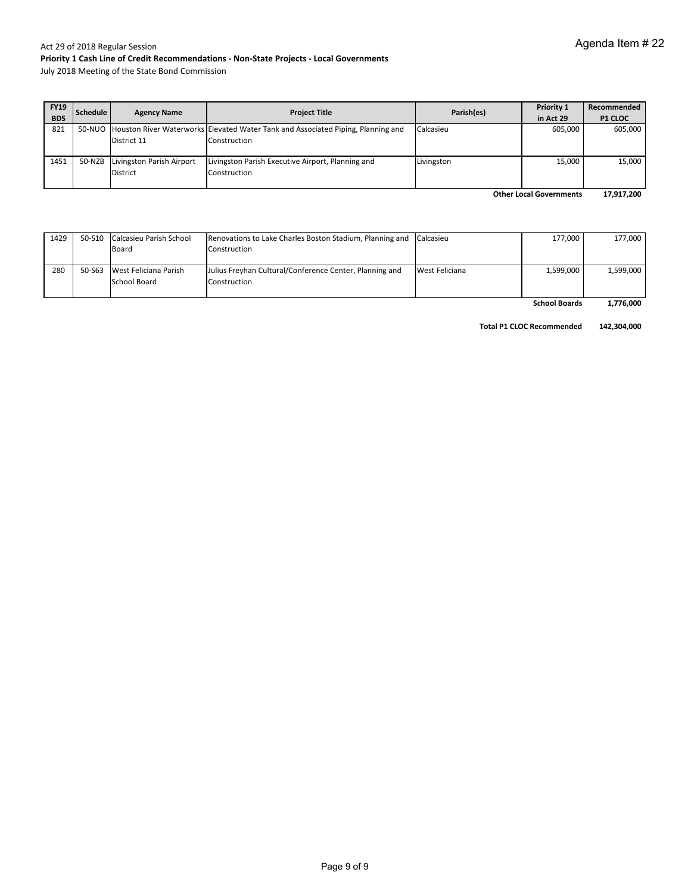July 2018 Meeting of the State Bond Commission

| <b>FY19</b> | Schedule | <b>Agency Name</b>        | <b>Project Title</b>                                                                    | Parish(es) | Priority 1 | Recommended    |
|-------------|----------|---------------------------|-----------------------------------------------------------------------------------------|------------|------------|----------------|
| <b>BDS</b>  |          |                           |                                                                                         |            | in Act 29  | <b>P1 CLOC</b> |
| 821         |          |                           | 50-NUO Houston River Waterworks Elevated Water Tank and Associated Piping, Planning and | Calcasieu  | 605.000    | 605.000        |
|             |          | District 11               | Construction                                                                            |            |            |                |
| 1451        | 50-NZB   | Livingston Parish Airport | Livingston Parish Executive Airport, Planning and                                       | Livingston | 15,000     | 15,000         |
|             |          | District                  | Construction                                                                            |            |            |                |
|             |          |                           |                                                                                         |            |            | $1 - 21 - 22$  |

**17,917,200 Other Local Governments**

| 1429 | 50-S10 Calcasieu Parish School | Renovations to Lake Charles Boston Stadium, Planning and Calcasieu |                | 177,000              | 177,000   |
|------|--------------------------------|--------------------------------------------------------------------|----------------|----------------------|-----------|
|      | Board                          | Construction                                                       |                |                      |           |
|      |                                |                                                                    |                |                      |           |
| 280  | 50-S63 West Feliciana Parish   | Julius Freyhan Cultural/Conference Center, Planning and            | West Feliciana | 1,599,000            | 1.599.000 |
|      | School Board                   | Construction                                                       |                |                      |           |
|      |                                |                                                                    |                |                      |           |
|      |                                |                                                                    |                | <b>School Boards</b> | 1,776,000 |

**Total P1 CLOC Recommended 142,304,000**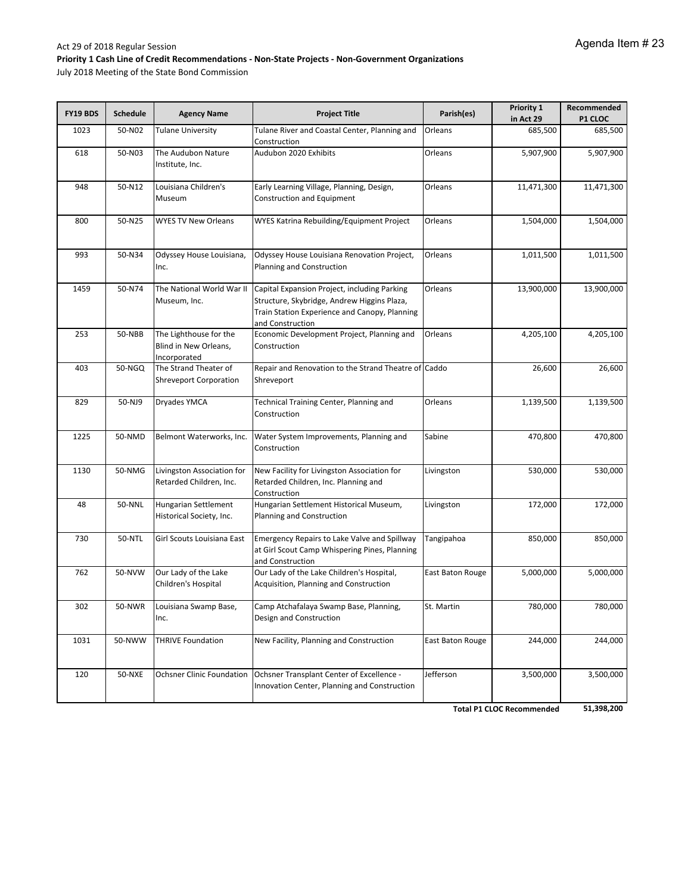July 2018 Meeting of the State Bond Commission

| FY19 BDS | <b>Schedule</b> | <b>Agency Name</b>                                              | <b>Project Title</b>                                                                                                                                             | Parish(es)              | Priority 1<br>in Act 29 | Recommended<br><b>P1 CLOC</b> |
|----------|-----------------|-----------------------------------------------------------------|------------------------------------------------------------------------------------------------------------------------------------------------------------------|-------------------------|-------------------------|-------------------------------|
| 1023     | 50-N02          | Tulane University                                               | Tulane River and Coastal Center, Planning and<br>Construction                                                                                                    | Orleans                 | 685,500                 | 685,500                       |
| 618      | 50-N03          | The Audubon Nature<br>Institute, Inc.                           | Audubon 2020 Exhibits                                                                                                                                            | Orleans                 | 5,907,900               | 5,907,900                     |
| 948      | 50-N12          | Louisiana Children's<br>Museum                                  | Early Learning Village, Planning, Design,<br>Construction and Equipment                                                                                          | Orleans                 | 11,471,300              | 11,471,300                    |
| 800      | 50-N25          | <b>WYES TV New Orleans</b>                                      | WYES Katrina Rebuilding/Equipment Project                                                                                                                        | Orleans                 | 1,504,000               | 1,504,000                     |
| 993      | 50-N34          | Odyssey House Louisiana,<br>Inc.                                | Odyssey House Louisiana Renovation Project,<br>Planning and Construction                                                                                         | Orleans                 | 1,011,500               | 1,011,500                     |
| 1459     | 50-N74          | The National World War II<br>Museum, Inc.                       | Capital Expansion Project, including Parking<br>Structure, Skybridge, Andrew Higgins Plaza,<br>Train Station Experience and Canopy, Planning<br>and Construction | Orleans                 | 13,900,000              | 13,900,000                    |
| 253      | 50-NBB          | The Lighthouse for the<br>Blind in New Orleans,<br>Incorporated | Economic Development Project, Planning and<br>Construction                                                                                                       | Orleans                 | 4,205,100               | 4,205,100                     |
| 403      | 50-NGQ          | The Strand Theater of<br><b>Shreveport Corporation</b>          | Repair and Renovation to the Strand Theatre of Caddo<br>Shreveport                                                                                               |                         | 26,600                  | 26,600                        |
| 829      | 50-NJ9          | Dryades YMCA                                                    | Technical Training Center, Planning and<br>Construction                                                                                                          | Orleans                 | 1,139,500               | 1,139,500                     |
| 1225     | 50-NMD          | Belmont Waterworks, Inc.                                        | Water System Improvements, Planning and<br>Construction                                                                                                          | Sabine                  | 470,800                 | 470,800                       |
| 1130     | 50-NMG          | Livingston Association for<br>Retarded Children, Inc.           | New Facility for Livingston Association for<br>Retarded Children, Inc. Planning and<br>Construction                                                              | Livingston              | 530,000                 | 530,000                       |
| 48       | 50-NNL          | Hungarian Settlement<br>Historical Society, Inc.                | Hungarian Settlement Historical Museum,<br>Planning and Construction                                                                                             | Livingston              | 172,000                 | 172,000                       |
| 730      | <b>50-NTL</b>   | Girl Scouts Louisiana East                                      | <b>Emergency Repairs to Lake Valve and Spillway</b><br>at Girl Scout Camp Whispering Pines, Planning<br>and Construction                                         | Tangipahoa              | 850,000                 | 850,000                       |
| 762      | 50-NVW          | Our Lady of the Lake<br>Children's Hospital                     | Our Lady of the Lake Children's Hospital,<br>Acquisition, Planning and Construction                                                                              | East Baton Rouge        | 5,000,000               | 5,000,000                     |
| 302      | 50-NWR          | Louisiana Swamp Base,<br>Inc.                                   | Camp Atchafalaya Swamp Base, Planning,<br>Design and Construction                                                                                                | St. Martin              | 780,000                 | 780,000                       |
| 1031     | 50-NWW          | <b>THRIVE Foundation</b>                                        | New Facility, Planning and Construction                                                                                                                          | <b>East Baton Rouge</b> | 244,000                 | 244,000                       |
| 120      | 50-NXE          | <b>Ochsner Clinic Foundation</b>                                | Ochsner Transplant Center of Excellence -<br>Innovation Center, Planning and Construction                                                                        | Jefferson               | 3,500,000               | 3,500,000                     |

**Total P1 CLOC Recommended 51,398,200**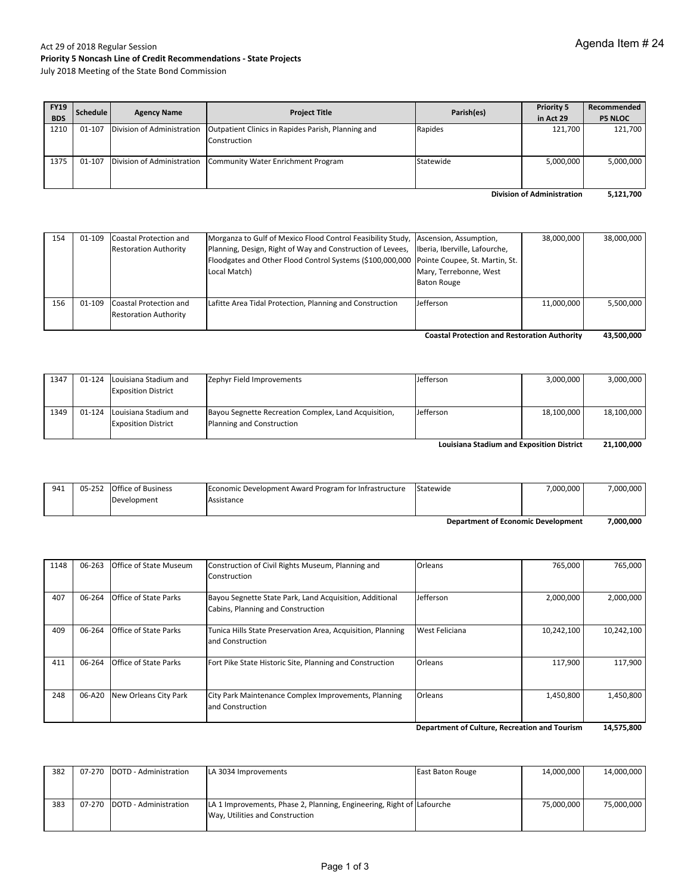#### Act 29 of 2018 Regular Session **Priority 5 Noncash Line of Credit Recommendations ‐ State Projects** July 2018 Meeting of the State Bond Commission

| <b>FY19</b>                       | Schedule | <b>Agency Name</b>         | <b>Project Title</b>                                          | Parish(es) | <b>Priority 5</b> | Recommended    |
|-----------------------------------|----------|----------------------------|---------------------------------------------------------------|------------|-------------------|----------------|
| <b>BDS</b>                        |          |                            |                                                               |            | in Act 29         | <b>P5 NLOC</b> |
| 1210                              | 01-107   | Division of Administration | Outpatient Clinics in Rapides Parish, Planning and            | Rapides    | 121,700           | 121,700        |
|                                   |          |                            | Construction                                                  |            |                   |                |
|                                   |          |                            |                                                               |            |                   |                |
| 1375                              | 01-107   |                            | Division of Administration Community Water Enrichment Program | Statewide  | 5,000,000         | 5,000,000      |
|                                   |          |                            |                                                               |            |                   |                |
| <b>Division of Administration</b> |          |                            |                                                               |            | 5,121,700         |                |

| Coastal Drotestian and Posteration Authority<br>42 EAQ AAQ |  |                                                               |                                                                                                                                                                        |                                                                               |            |            |  |
|------------------------------------------------------------|--|---------------------------------------------------------------|------------------------------------------------------------------------------------------------------------------------------------------------------------------------|-------------------------------------------------------------------------------|------------|------------|--|
| 156                                                        |  | 01-109 Coastal Protection and<br><b>Restoration Authority</b> | Lafitte Area Tidal Protection, Planning and Construction                                                                                                               | Jefferson                                                                     | 11,000,000 | 5.500.000  |  |
|                                                            |  | <b>Restoration Authority</b>                                  | Planning, Design, Right of Way and Construction of Levees,<br>Floodgates and Other Flood Control Systems (\$100,000,000 Pointe Coupee, St. Martin, St.<br>Local Match) | Iberia, Iberville, Lafourche,<br>Mary, Terrebonne, West<br><b>Baton Rouge</b> |            |            |  |
| 154                                                        |  | 01-109 Coastal Protection and                                 | Morganza to Gulf of Mexico Flood Control Feasibility Study, Ascension, Assumption,                                                                                     |                                                                               | 38,000,000 | 38,000,000 |  |

**43,500,000 Coastal Protection and Restoration Authority**

| 1347                                             | 01-124 | Louisiana Stadium and<br><b>Exposition District</b> | Zephyr Field Improvements                            | Jefferson | 3,000,000  | 3,000,000  |
|--------------------------------------------------|--------|-----------------------------------------------------|------------------------------------------------------|-----------|------------|------------|
|                                                  |        |                                                     |                                                      |           |            |            |
| 1349                                             | 01-124 | Louisiana Stadium and                               | Bayou Segnette Recreation Complex, Land Acquisition, | Jefferson | 18,100,000 | 18,100,000 |
|                                                  |        | <b>Exposition District</b>                          | Planning and Construction                            |           |            |            |
| <b>Louisiana Stadium and Exposition District</b> |        |                                                     |                                                      |           | 21.100.000 |            |

| <b>Department of Economic Development</b> |  |                           |                                                       | 7.000.000 |           |           |
|-------------------------------------------|--|---------------------------|-------------------------------------------------------|-----------|-----------|-----------|
|                                           |  | Development               | Assistance                                            |           |           |           |
| 941                                       |  | 05-252 Office of Business | Economic Development Award Program for Infrastructure | Statewide | 7.000.000 | 7.000.000 |

| 1148 | 06-263 | <b>Office of State Museum</b> | Construction of Civil Rights Museum, Planning and<br>Construction                            | Orleans        | 765,000    | 765.000    |
|------|--------|-------------------------------|----------------------------------------------------------------------------------------------|----------------|------------|------------|
| 407  | 06-264 | <b>Office of State Parks</b>  | Bayou Segnette State Park, Land Acquisition, Additional<br>Cabins, Planning and Construction | Jefferson      | 2,000,000  | 2,000,000  |
| 409  | 06-264 | <b>Office of State Parks</b>  | Tunica Hills State Preservation Area, Acquisition, Planning<br>and Construction              | West Feliciana | 10,242,100 | 10,242,100 |
| 411  | 06-264 | <b>Office of State Parks</b>  | Fort Pike State Historic Site, Planning and Construction                                     | Orleans        | 117,900    | 117.900    |
| 248  | 06-A20 | New Orleans City Park         | City Park Maintenance Complex Improvements, Planning<br>and Construction                     | Orleans        | 1,450,800  | 1,450,800  |

**14,575,800 Department of Culture, Recreation and Tourism**

| 382 | 07-270 DOTD - Administration   | LA 3034 Improvements                                                                                     | East Baton Rouge | 14,000,000 | 14,000,000 |
|-----|--------------------------------|----------------------------------------------------------------------------------------------------------|------------------|------------|------------|
| 383 | 07-270   DOTD - Administration | LA 1 Improvements, Phase 2, Planning, Engineering, Right of Lafourche<br>Way, Utilities and Construction |                  | 75.000.000 | 75,000,000 |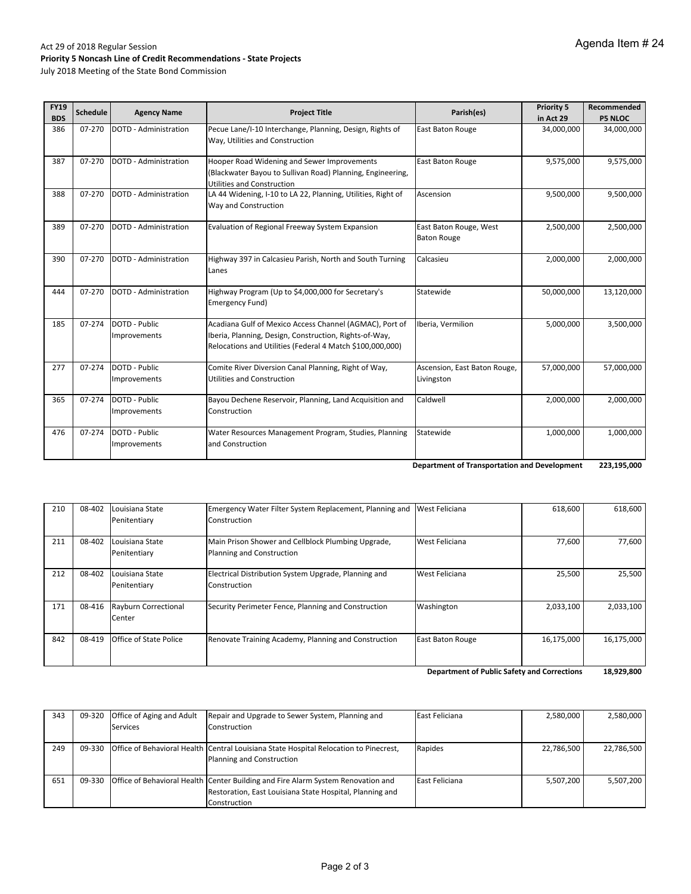#### Act 29 of 2018 Regular Session **Priority 5 Noncash Line of Credit Recommendations ‐ State Projects** July 2018 Meeting of the State Bond Commission

| <b>FY19</b><br><b>BDS</b> | <b>Schedule</b> | <b>Agency Name</b>            | <b>Project Title</b>                                                                                                                                                           | Parish(es)                                   | <b>Priority 5</b><br>in Act 29 | Recommended<br><b>P5 NLOC</b> |
|---------------------------|-----------------|-------------------------------|--------------------------------------------------------------------------------------------------------------------------------------------------------------------------------|----------------------------------------------|--------------------------------|-------------------------------|
| 386                       | 07-270          | <b>DOTD - Administration</b>  | Pecue Lane/I-10 Interchange, Planning, Design, Rights of<br>Way, Utilities and Construction                                                                                    | <b>East Baton Rouge</b>                      | 34,000,000                     | 34,000,000                    |
| 387                       | 07-270          | DOTD - Administration         | Hooper Road Widening and Sewer Improvements<br>(Blackwater Bayou to Sullivan Road) Planning, Engineering,<br><b>Utilities and Construction</b>                                 | East Baton Rouge                             | 9,575,000                      | 9,575,000                     |
| 388                       | 07-270          | <b>DOTD - Administration</b>  | LA 44 Widening, I-10 to LA 22, Planning, Utilities, Right of<br>Way and Construction                                                                                           | Ascension                                    | 9,500,000                      | 9,500,000                     |
| 389                       | 07-270          | DOTD - Administration         | Evaluation of Regional Freeway System Expansion                                                                                                                                | East Baton Rouge, West<br><b>Baton Rouge</b> | 2,500,000                      | 2,500,000                     |
| 390                       | 07-270          | <b>DOTD - Administration</b>  | Highway 397 in Calcasieu Parish, North and South Turning<br>Lanes                                                                                                              | Calcasieu                                    | 2,000,000                      | 2,000,000                     |
| 444                       | 07-270          | <b>DOTD - Administration</b>  | Highway Program (Up to \$4,000,000 for Secretary's<br>Emergency Fund)                                                                                                          | Statewide                                    | 50,000,000                     | 13,120,000                    |
| 185                       | 07-274          | DOTD - Public<br>Improvements | Acadiana Gulf of Mexico Access Channel (AGMAC), Port of<br>Iberia, Planning, Design, Construction, Rights-of-Way,<br>Relocations and Utilities (Federal 4 Match \$100,000,000) | Iberia, Vermilion                            | 5,000,000                      | 3,500,000                     |
| 277                       | 07-274          | DOTD - Public<br>Improvements | Comite River Diversion Canal Planning, Right of Way,<br><b>Utilities and Construction</b>                                                                                      | Ascension, East Baton Rouge,<br>Livingston   | 57,000,000                     | 57,000,000                    |
| 365                       | 07-274          | DOTD - Public<br>Improvements | Bayou Dechene Reservoir, Planning, Land Acquisition and<br>Construction                                                                                                        | Caldwell                                     | 2,000,000                      | 2,000,000                     |
| 476                       | 07-274          | DOTD - Public<br>Improvements | Water Resources Management Program, Studies, Planning<br>and Construction                                                                                                      | Statewide                                    | 1,000,000                      | 1,000,000                     |

**223,195,000 Department of Transportation and Development**

| <b>Department of Public Safety and Corrections</b> |        |                                       |                                                                                 |                  |            | 18,929,800 |
|----------------------------------------------------|--------|---------------------------------------|---------------------------------------------------------------------------------|------------------|------------|------------|
| 842                                                | 08-419 | Office of State Police                | Renovate Training Academy, Planning and Construction                            | East Baton Rouge | 16,175,000 | 16,175,000 |
| 171                                                | 08-416 | <b>Rayburn Correctional</b><br>Center | Security Perimeter Fence, Planning and Construction                             | Washington       | 2,033,100  | 2,033,100  |
| 212                                                | 08-402 | Louisiana State<br>Penitentiary       | Electrical Distribution System Upgrade, Planning and<br>Construction            | West Feliciana   | 25,500     | 25,500     |
| 211                                                | 08-402 | Louisiana State<br>Penitentiary       | Main Prison Shower and Cellblock Plumbing Upgrade,<br>Planning and Construction | West Feliciana   | 77,600     | 77,600     |
| 210                                                | 08-402 | Louisiana State<br>Penitentiary       | Emergency Water Filter System Replacement, Planning and<br>Construction         | West Feliciana   | 618,600    | 618,600    |

| 343 | 09-320 Office of Aging and Adult | Repair and Upgrade to Sewer System, Planning and                                             | East Feliciana | 2,580,000  | 2,580,000  |
|-----|----------------------------------|----------------------------------------------------------------------------------------------|----------------|------------|------------|
|     | Services                         | Construction                                                                                 |                |            |            |
|     |                                  |                                                                                              |                |            |            |
| 249 |                                  | 09-330 Office of Behavioral Health Central Louisiana State Hospital Relocation to Pinecrest, | Rapides        | 22,786,500 | 22,786,500 |
|     |                                  | Planning and Construction                                                                    |                |            |            |
|     |                                  |                                                                                              |                |            |            |
| 651 |                                  | 09-330 Office of Behavioral Health Center Building and Fire Alarm System Renovation and      | East Feliciana | 5.507.200  | 5.507.200  |
|     |                                  | Restoration, East Louisiana State Hospital, Planning and                                     |                |            |            |
|     |                                  | Construction                                                                                 |                |            |            |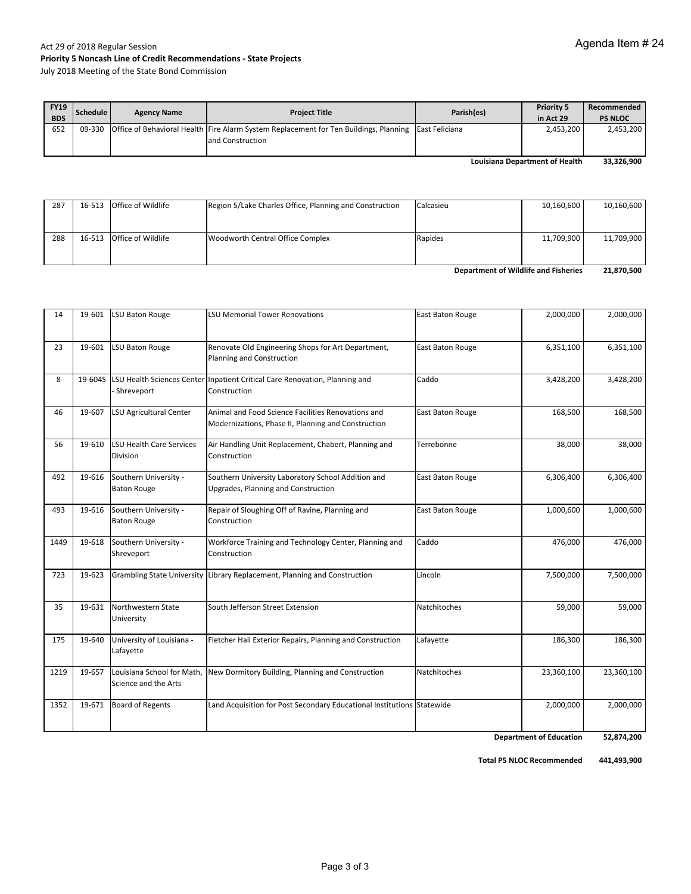July 2018 Meeting of the State Bond Commission

| <b>FY19</b><br><b>BDS</b> | Schedule | <b>Agency Name</b> | <b>Project Title</b>                                                                                                             | Parish(es) | <b>Priority 5</b><br>in Act 29 | Recommended<br><b>P5 NLOC</b> |
|---------------------------|----------|--------------------|----------------------------------------------------------------------------------------------------------------------------------|------------|--------------------------------|-------------------------------|
| 652                       |          |                    | 09-330 Office of Behavioral Health Fire Alarm System Replacement for Ten Buildings, Planning East Feliciana<br>land Construction |            | 2.453.200                      | 2,453,200                     |

**33,326,900 Louisiana Department of Health**

| 287                                  |  | 16-513 Office of Wildlife | Region 5/Lake Charles Office, Planning and Construction | Calcasieu | 10,160,600 | 10,160,600 |
|--------------------------------------|--|---------------------------|---------------------------------------------------------|-----------|------------|------------|
|                                      |  |                           |                                                         |           |            |            |
|                                      |  |                           |                                                         |           |            |            |
| 288                                  |  | 16-513 Office of Wildlife | Woodworth Central Office Complex                        | Rapides   | 11,709,900 | 11,709,900 |
|                                      |  |                           |                                                         |           |            |            |
|                                      |  |                           |                                                         |           |            |            |
| Department of Wildlife and Fisheries |  |                           |                                                         |           | 21,870,500 |            |

| 14   |        | 19-601 LSU Baton Rouge                             | <b>LSU Memorial Tower Renovations</b>                                                                     | East Baton Rouge        | 2,000,000               | 2,000,000         |
|------|--------|----------------------------------------------------|-----------------------------------------------------------------------------------------------------------|-------------------------|-------------------------|-------------------|
| 23   | 19-601 | <b>LSU Baton Rouge</b>                             | Renovate Old Engineering Shops for Art Department,<br>Planning and Construction                           | <b>East Baton Rouge</b> | 6,351,100               | 6,351,100         |
| 8    |        | Shreveport                                         | 19-604S LSU Health Sciences Center Inpatient Critical Care Renovation, Planning and<br>Construction       | Caddo                   | 3,428,200               | 3,428,200         |
| 46   | 19-607 | <b>LSU Agricultural Center</b>                     | Animal and Food Science Facilities Renovations and<br>Modernizations, Phase II, Planning and Construction | <b>East Baton Rouge</b> | 168,500                 | 168,500           |
| 56   | 19-610 | <b>LSU Health Care Services</b><br><b>Division</b> | Air Handling Unit Replacement, Chabert, Planning and<br>Construction                                      | Terrebonne              | 38,000                  | 38,000            |
| 492  | 19-616 | Southern University -<br><b>Baton Rouge</b>        | Southern University Laboratory School Addition and<br>Upgrades, Planning and Construction                 | East Baton Rouge        | 6,306,400               | 6,306,400         |
| 493  | 19-616 | Southern University -<br><b>Baton Rouge</b>        | Repair of Sloughing Off of Ravine, Planning and<br>Construction                                           | East Baton Rouge        | 1,000,600               | 1,000,600         |
| 1449 | 19-618 | Southern University -<br>Shreveport                | Workforce Training and Technology Center, Planning and<br>Construction                                    | Caddo                   | 476,000                 | 476,000           |
| 723  | 19-623 |                                                    | Grambling State University Library Replacement, Planning and Construction                                 | Lincoln                 | 7,500,000               | 7,500,000         |
| 35   | 19-631 | Northwestern State<br>University                   | South Jefferson Street Extension                                                                          | Natchitoches            | 59,000                  | 59,000            |
| 175  | 19-640 | University of Louisiana -<br>Lafayette             | Fletcher Hall Exterior Repairs, Planning and Construction                                                 | Lafayette               | 186,300                 | 186,300           |
| 1219 | 19-657 | Louisiana School for Math.<br>Science and the Arts | New Dormitory Building, Planning and Construction                                                         | Natchitoches            | 23,360,100              | 23,360,100        |
| 1352 | 19-671 | <b>Board of Regents</b>                            | Land Acquisition for Post Secondary Educational Institutions Statewide                                    |                         | 2,000,000               | 2,000,000         |
|      |        |                                                    |                                                                                                           |                         | Donartmant of Education | <b>ED 074 200</b> |

**52,874,200 Department of Education**

**Total P5 NLOC Recommended 441,493,900**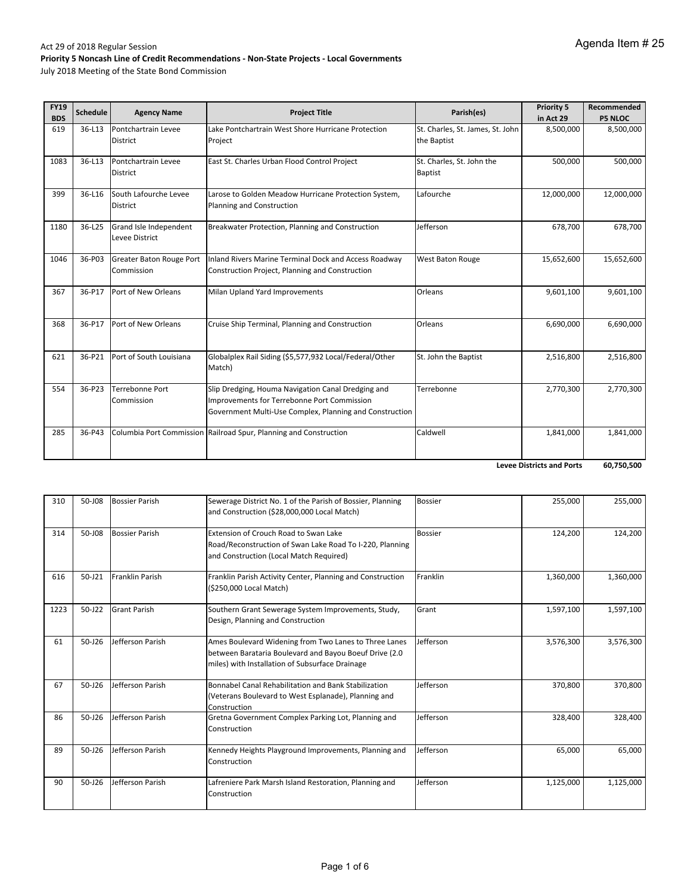July 2018 Meeting of the State Bond Commission

| <b>FY19</b><br><b>BDS</b> | <b>Schedule</b> | <b>Agency Name</b>                       | <b>Project Title</b>                                                                                                                                         | Parish(es)                                      | <b>Priority 5</b><br>in Act 29 | Recommended<br><b>P5 NLOC</b> |
|---------------------------|-----------------|------------------------------------------|--------------------------------------------------------------------------------------------------------------------------------------------------------------|-------------------------------------------------|--------------------------------|-------------------------------|
| 619                       | 36-L13          | Pontchartrain Levee<br><b>District</b>   | Lake Pontchartrain West Shore Hurricane Protection<br>Project                                                                                                | St. Charles, St. James, St. John<br>the Baptist | 8,500,000                      | 8,500,000                     |
| 1083                      | 36-L13          | Pontchartrain Levee<br><b>District</b>   | East St. Charles Urban Flood Control Project                                                                                                                 | St. Charles, St. John the<br><b>Baptist</b>     | 500,000                        | 500,000                       |
| 399                       | 36-L16          | South Lafourche Levee<br>District        | Larose to Golden Meadow Hurricane Protection System,<br>Planning and Construction                                                                            | Lafourche                                       | 12,000,000                     | 12,000,000                    |
| 1180                      | 36-L25          | Grand Isle Independent<br>Levee District | Breakwater Protection, Planning and Construction                                                                                                             | Jefferson                                       | 678,700                        | 678,700                       |
| 1046                      | 36-P03          | Greater Baton Rouge Port<br>Commission   | Inland Rivers Marine Terminal Dock and Access Roadway<br>Construction Project, Planning and Construction                                                     | <b>West Baton Rouge</b>                         | 15,652,600                     | 15,652,600                    |
| 367                       | 36-P17          | Port of New Orleans                      | Milan Upland Yard Improvements                                                                                                                               | Orleans                                         | 9,601,100                      | 9,601,100                     |
| 368                       | 36-P17          | Port of New Orleans                      | Cruise Ship Terminal, Planning and Construction                                                                                                              | Orleans                                         | 6,690,000                      | 6,690,000                     |
| 621                       | 36-P21          | Port of South Louisiana                  | Globalplex Rail Siding (\$5,577,932 Local/Federal/Other<br>Match)                                                                                            | St. John the Baptist                            | 2,516,800                      | 2,516,800                     |
| 554                       | 36-P23          | Terrebonne Port<br>Commission            | Slip Dredging, Houma Navigation Canal Dredging and<br>Improvements for Terrebonne Port Commission<br>Government Multi-Use Complex, Planning and Construction | Terrebonne                                      | 2,770,300                      | 2,770,300                     |
| 285                       | 36-P43          |                                          | Columbia Port Commission Railroad Spur, Planning and Construction                                                                                            | Caldwell                                        | 1,841,000                      | 1,841,000                     |

**60,750,500 Levee Districts and Ports**

| 310  | 50-J08     | <b>Bossier Parish</b> | Sewerage District No. 1 of the Parish of Bossier, Planning<br>and Construction (\$28,000,000 Local Match)                                                          | <b>Bossier</b> | 255,000   | 255,000   |
|------|------------|-----------------------|--------------------------------------------------------------------------------------------------------------------------------------------------------------------|----------------|-----------|-----------|
| 314  | 50-J08     | <b>Bossier Parish</b> | Extension of Crouch Road to Swan Lake<br>Road/Reconstruction of Swan Lake Road To I-220, Planning<br>and Construction (Local Match Required)                       | <b>Bossier</b> | 124,200   | 124,200   |
| 616  | $50 - 121$ | Franklin Parish       | Franklin Parish Activity Center, Planning and Construction<br>(\$250,000 Local Match)                                                                              | Franklin       | 1,360,000 | 1,360,000 |
| 1223 | $50 - J22$ | <b>Grant Parish</b>   | Southern Grant Sewerage System Improvements, Study,<br>Design, Planning and Construction                                                                           | Grant          | 1,597,100 | 1,597,100 |
| 61   | $50 - 126$ | Jefferson Parish      | Ames Boulevard Widening from Two Lanes to Three Lanes<br>between Barataria Boulevard and Bayou Boeuf Drive (2.0<br>miles) with Installation of Subsurface Drainage | Jefferson      | 3,576,300 | 3,576,300 |
| 67   | $50 - 126$ | Jefferson Parish      | Bonnabel Canal Rehabilitation and Bank Stabilization<br>(Veterans Boulevard to West Esplanade), Planning and<br>Construction                                       | Jefferson      | 370,800   | 370,800   |
| 86   | 50-J26     | Jefferson Parish      | Gretna Government Complex Parking Lot, Planning and<br>Construction                                                                                                | Jefferson      | 328,400   | 328,400   |
| 89   | 50-J26     | Jefferson Parish      | Kennedy Heights Playground Improvements, Planning and<br>Construction                                                                                              | Jefferson      | 65,000    | 65,000    |
| 90   | 50-J26     | Jefferson Parish      | Lafreniere Park Marsh Island Restoration, Planning and<br>Construction                                                                                             | Jefferson      | 1,125,000 | 1,125,000 |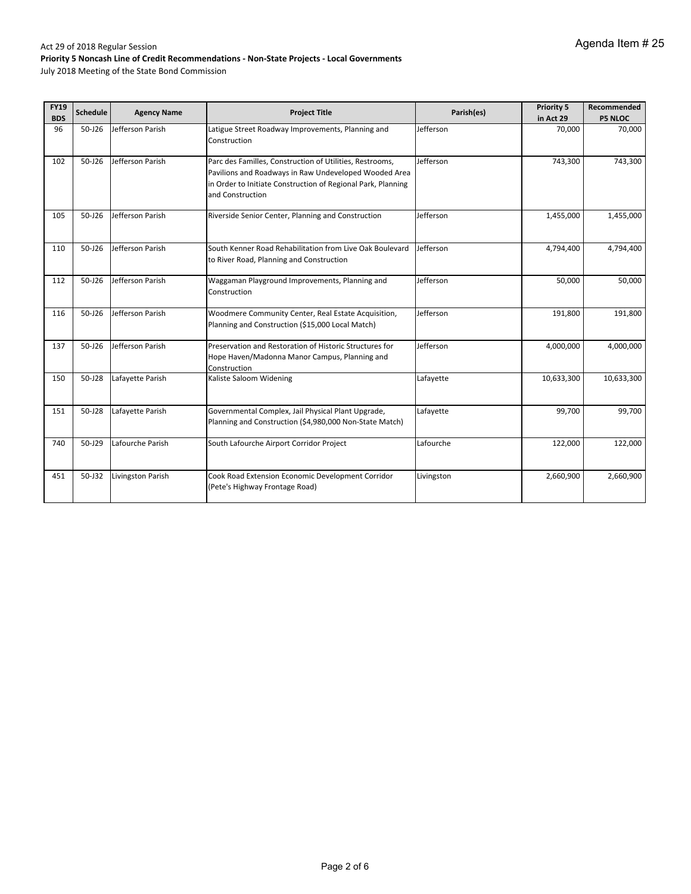| <b>FY19</b><br><b>BDS</b> | <b>Schedule</b> | <b>Agency Name</b> | <b>Project Title</b>                                                                                                                                                                                  | Parish(es) | <b>Priority 5</b><br>in Act 29 | Recommended<br><b>P5 NLOC</b> |
|---------------------------|-----------------|--------------------|-------------------------------------------------------------------------------------------------------------------------------------------------------------------------------------------------------|------------|--------------------------------|-------------------------------|
| 96                        | 50-J26          | Jefferson Parish   | Latigue Street Roadway Improvements, Planning and<br>Construction                                                                                                                                     | Jefferson  | 70,000                         | 70,000                        |
| 102                       | $50 - 126$      | Jefferson Parish   | Parc des Familles, Construction of Utilities, Restrooms,<br>Pavilions and Roadways in Raw Undeveloped Wooded Area<br>in Order to Initiate Construction of Regional Park, Planning<br>and Construction | Jefferson  | 743,300                        | 743,300                       |
| 105                       | $50 - 126$      | Jefferson Parish   | Riverside Senior Center, Planning and Construction                                                                                                                                                    | Jefferson  | 1,455,000                      | 1,455,000                     |
| 110                       | $50 - 126$      | Jefferson Parish   | South Kenner Road Rehabilitation from Live Oak Boulevard<br>to River Road, Planning and Construction                                                                                                  | Jefferson  | 4,794,400                      | 4,794,400                     |
| 112                       | $50 - 126$      | Jefferson Parish   | Waggaman Playground Improvements, Planning and<br>Construction                                                                                                                                        | Jefferson  | 50,000                         | 50,000                        |
| 116                       | $50 - 126$      | Jefferson Parish   | Woodmere Community Center, Real Estate Acquisition,<br>Planning and Construction (\$15,000 Local Match)                                                                                               | Jefferson  | 191,800                        | 191,800                       |
| 137                       | $50 - 126$      | Jefferson Parish   | Preservation and Restoration of Historic Structures for<br>Hope Haven/Madonna Manor Campus, Planning and<br>Construction                                                                              | Jefferson  | 4,000,000                      | 4,000,000                     |
| 150                       | 50-J28          | Lafayette Parish   | Kaliste Saloom Widening                                                                                                                                                                               | Lafayette  | 10,633,300                     | 10,633,300                    |
| 151                       | 50-J28          | Lafayette Parish   | Governmental Complex, Jail Physical Plant Upgrade,<br>Planning and Construction (\$4,980,000 Non-State Match)                                                                                         | Lafayette  | 99,700                         | 99,700                        |
| 740                       | $50 - 129$      | Lafourche Parish   | South Lafourche Airport Corridor Project                                                                                                                                                              | Lafourche  | 122,000                        | 122,000                       |
| 451                       | 50-J32          | Livingston Parish  | Cook Road Extension Economic Development Corridor<br>(Pete's Highway Frontage Road)                                                                                                                   | Livingston | 2,660,900                      | 2,660,900                     |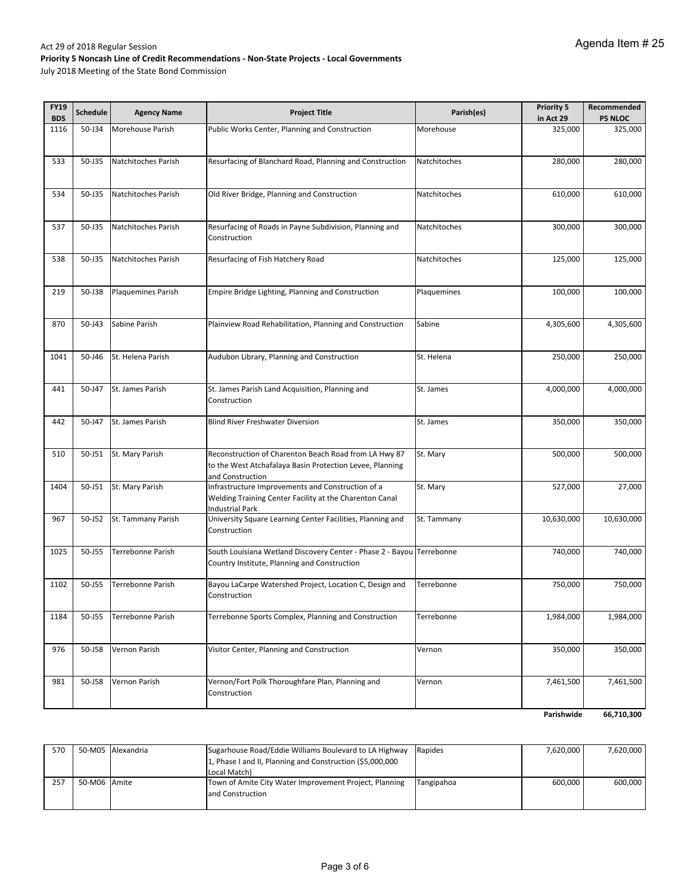July 2018 Meeting of the State Bond Commission

| <b>FY19</b><br><b>BDS</b> | <b>Schedule</b> | <b>Agency Name</b>        | <b>Project Title</b>                                                                                                                  | Parish(es)   | <b>Priority 5</b><br>in Act 29 | Recommended<br><b>P5 NLOC</b> |
|---------------------------|-----------------|---------------------------|---------------------------------------------------------------------------------------------------------------------------------------|--------------|--------------------------------|-------------------------------|
| 1116                      | 50-J34          | Morehouse Parish          | Public Works Center, Planning and Construction                                                                                        | Morehouse    | 325,000                        | 325,000                       |
| 533                       | 50-J35          | Natchitoches Parish       | Resurfacing of Blanchard Road, Planning and Construction                                                                              | Natchitoches | 280,000                        | 280,000                       |
| 534                       | 50-J35          | Natchitoches Parish       | Old River Bridge, Planning and Construction                                                                                           | Natchitoches | 610,000                        | 610,000                       |
| 537                       | 50-J35          | Natchitoches Parish       | Resurfacing of Roads in Payne Subdivision, Planning and<br>Construction                                                               | Natchitoches | 300,000                        | 300,000                       |
| 538                       | 50-J35          | Natchitoches Parish       | Resurfacing of Fish Hatchery Road                                                                                                     | Natchitoches | 125,000                        | 125,000                       |
| 219                       | 50-J38          | <b>Plaquemines Parish</b> | Empire Bridge Lighting, Planning and Construction                                                                                     | Plaquemines  | 100,000                        | 100,000                       |
| 870                       | $50 - 143$      | Sabine Parish             | Plainview Road Rehabilitation, Planning and Construction                                                                              | Sabine       | 4,305,600                      | 4,305,600                     |
| 1041                      | 50-J46          | St. Helena Parish         | Audubon Library, Planning and Construction                                                                                            | St. Helena   | 250,000                        | 250,000                       |
| 441                       | 50-J47          | St. James Parish          | St. James Parish Land Acquisition, Planning and<br>Construction                                                                       | St. James    | 4,000,000                      | 4,000,000                     |
| 442                       | 50-J47          | St. James Parish          | Blind River Freshwater Diversion                                                                                                      | St. James    | 350,000                        | 350,000                       |
| 510                       | 50-J51          | St. Mary Parish           | Reconstruction of Charenton Beach Road from LA Hwy 87<br>to the West Atchafalaya Basin Protection Levee, Planning<br>and Construction | St. Mary     | 500,000                        | 500,000                       |
| 1404                      | 50-J51          | St. Mary Parish           | Infrastructure Improvements and Construction of a<br>Welding Training Center Facility at the Charenton Canal<br>Industrial Park       | St. Mary     | 527,000                        | 27,000                        |
| 967                       | 50-J52          | St. Tammany Parish        | University Square Learning Center Facilities, Planning and<br>Construction                                                            | St. Tammany  | 10,630,000                     | 10,630,000                    |
| 1025                      | 50-J55          | Terrebonne Parish         | South Louisiana Wetland Discovery Center - Phase 2 - Bayou Terrebonne<br>Country Institute, Planning and Construction                 |              | 740,000                        | 740,000                       |
| 1102                      | 50-J55          | Terrebonne Parish         | Bayou LaCarpe Watershed Project, Location C, Design and<br>Construction                                                               | Terrebonne   | 750,000                        | 750,000                       |
| 1184                      | 50-J55          | Terrebonne Parish         | Terrebonne Sports Complex, Planning and Construction                                                                                  | Terrebonne   | 1,984,000                      | 1,984,000                     |
| 976                       | 50-J58          | Vernon Parish             | Visitor Center, Planning and Construction                                                                                             | Vernon       | 350,000                        | 350,000                       |
| 981                       | 50-J58          | Vernon Parish             | Vernon/Fort Polk Thoroughfare Plan, Planning and<br>Construction                                                                      | Vernon       | 7,461,500                      | 7,461,500                     |

**66,710,300 Parishwide**

| 570 |              | 50-M05 Alexandria | Sugarhouse Road/Eddie Williams Boulevard to LA Highway    | Rapides    | 7.620.000 | 7,620,000 |
|-----|--------------|-------------------|-----------------------------------------------------------|------------|-----------|-----------|
|     |              |                   | 1, Phase I and II, Planning and Construction (\$5,000,000 |            |           |           |
|     |              |                   | Local Match)                                              |            |           |           |
| 257 | 50-M06 Amite |                   | Town of Amite City Water Improvement Project, Planning    | Tangipahoa | 600.000   | 600.000   |
|     |              |                   | and Construction                                          |            |           |           |
|     |              |                   |                                                           |            |           |           |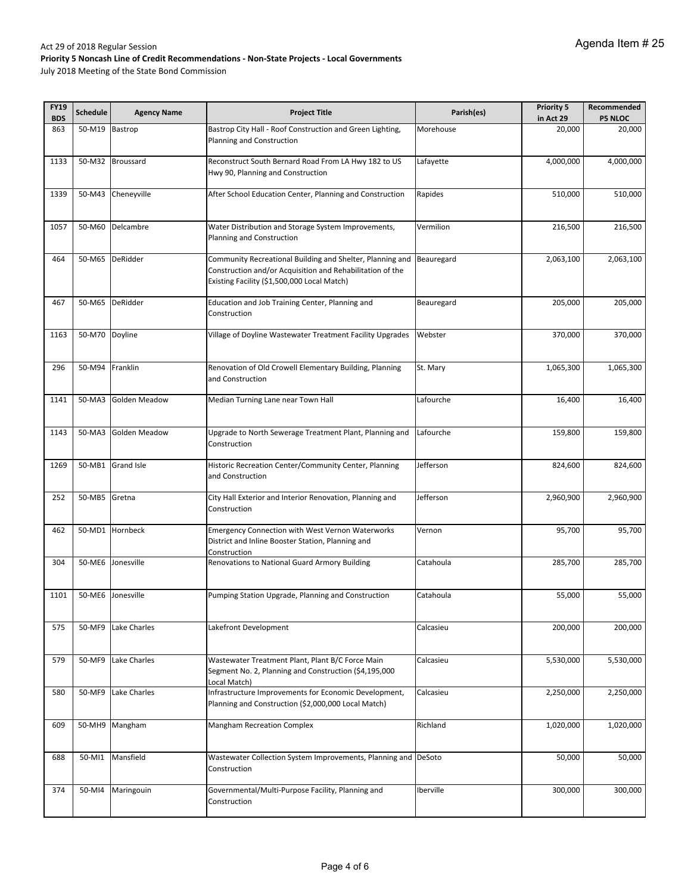| <b>FY19</b><br><b>BDS</b> | <b>Schedule</b> | <b>Agency Name</b>   | <b>Project Title</b>                                                                                                                                                  | Parish(es) | <b>Priority 5</b><br>in Act 29 | Recommended<br><b>P5 NLOC</b> |
|---------------------------|-----------------|----------------------|-----------------------------------------------------------------------------------------------------------------------------------------------------------------------|------------|--------------------------------|-------------------------------|
| 863                       | 50-M19          | Bastrop              | Bastrop City Hall - Roof Construction and Green Lighting,<br>Morehouse<br>Planning and Construction                                                                   |            | 20,000                         | 20,000                        |
| 1133                      | 50-M32          | Broussard            | Reconstruct South Bernard Road From LA Hwy 182 to US<br>Hwy 90, Planning and Construction                                                                             | Lafayette  | 4,000,000                      | 4,000,000                     |
| 1339                      | 50-M43          | Cheneyville          | After School Education Center, Planning and Construction                                                                                                              | Rapides    | 510,000                        | 510,000                       |
| 1057                      | 50-M60          | Delcambre            | Water Distribution and Storage System Improvements,<br>Planning and Construction                                                                                      | Vermilion  | 216,500                        | 216,500                       |
| 464                       | 50-M65          | DeRidder             | Community Recreational Building and Shelter, Planning and<br>Construction and/or Acquisition and Rehabilitation of the<br>Existing Facility (\$1,500,000 Local Match) | Beauregard | 2,063,100                      | 2,063,100                     |
| 467                       | 50-M65          | DeRidder             | Education and Job Training Center, Planning and<br>Construction                                                                                                       | Beauregard | 205,000                        | 205,000                       |
| 1163                      | 50-M70          | Doyline              | Village of Doyline Wastewater Treatment Facility Upgrades                                                                                                             | Webster    | 370,000                        | 370,000                       |
| 296                       | 50-M94          | Franklin             | Renovation of Old Crowell Elementary Building, Planning<br>and Construction                                                                                           | St. Mary   | 1,065,300                      | 1,065,300                     |
| 1141                      | 50-MA3          | Golden Meadow        | Median Turning Lane near Town Hall                                                                                                                                    | Lafourche  | 16,400                         | 16,400                        |
| 1143                      | 50-MA3          | <b>Golden Meadow</b> | Upgrade to North Sewerage Treatment Plant, Planning and<br>Construction                                                                                               | Lafourche  | 159,800                        | 159,800                       |
| 1269                      | 50-MB1          | <b>Grand Isle</b>    | Historic Recreation Center/Community Center, Planning<br>and Construction                                                                                             | Jefferson  | 824,600                        | 824,600                       |
| 252                       | 50-MB5          | Gretna               | City Hall Exterior and Interior Renovation, Planning and<br>Construction                                                                                              | Jefferson  | 2,960,900                      | 2,960,900                     |
| 462                       | 50-MD1          | Hornbeck             | <b>Emergency Connection with West Vernon Waterworks</b><br>District and Inline Booster Station, Planning and<br>Construction                                          | Vernon     | 95,700                         | 95,700                        |
| 304                       | 50-ME6          | Jonesville           | Renovations to National Guard Armory Building                                                                                                                         | Catahoula  | 285,700                        | 285,700                       |
| 1101                      | 50-ME6          | Jonesville           | Pumping Station Upgrade, Planning and Construction                                                                                                                    | Catahoula  | 55,000                         | 55,000                        |
| 575                       | 50-MF9          | Lake Charles         | Lakefront Development                                                                                                                                                 | Calcasieu  | 200,000                        | 200,000                       |
| 579                       | 50-MF9          | Lake Charles         | Wastewater Treatment Plant, Plant B/C Force Main<br>Segment No. 2, Planning and Construction (\$4,195,000<br>Local Match)                                             | Calcasieu  | 5,530,000                      | 5,530,000                     |
| 580                       | 50-MF9          | Lake Charles         | Infrastructure Improvements for Economic Development,<br>Planning and Construction (\$2,000,000 Local Match)                                                          | Calcasieu  | 2,250,000                      | 2,250,000                     |
| 609                       | 50-MH9          | Mangham              | Mangham Recreation Complex                                                                                                                                            | Richland   | 1,020,000                      | 1,020,000                     |
| 688                       | 50-MI1          | Mansfield            | Wastewater Collection System Improvements, Planning and DeSoto<br>Construction                                                                                        |            | 50,000                         | 50,000                        |
| 374                       | 50-MI4          | Maringouin           | Governmental/Multi-Purpose Facility, Planning and<br>Construction                                                                                                     | Iberville  | 300,000                        | 300,000                       |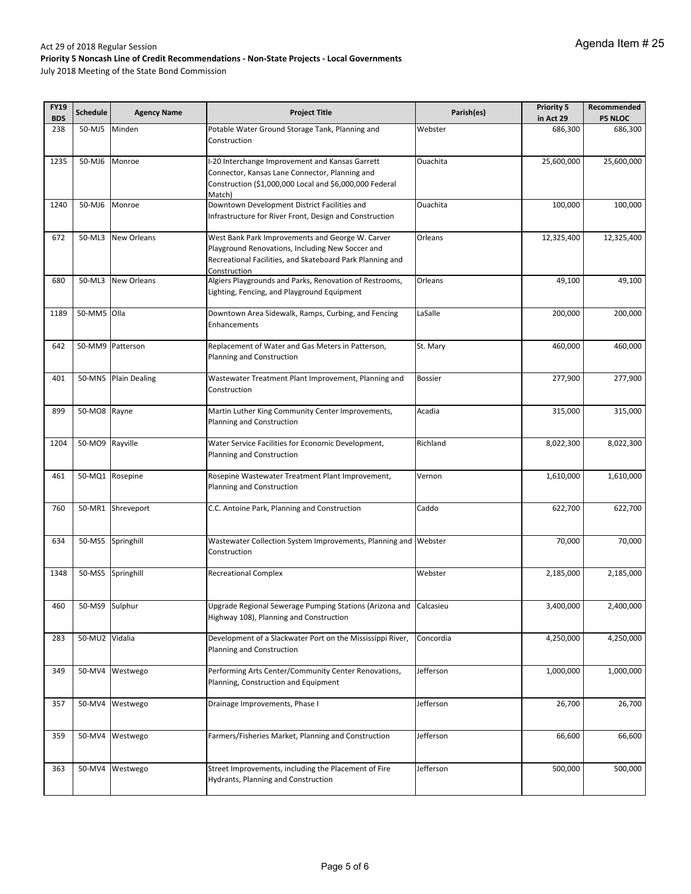| <b>FY19</b><br><b>BDS</b> | <b>Schedule</b> | <b>Agency Name</b>   | <b>Project Title</b>                                              | Parish(es)     | <b>Priority 5</b><br>in Act 29 | Recommended<br><b>P5 NLOC</b> |
|---------------------------|-----------------|----------------------|-------------------------------------------------------------------|----------------|--------------------------------|-------------------------------|
| 238                       | 50-MJ5          | Minden               | Potable Water Ground Storage Tank, Planning and                   | Webster        | 686,300                        | 686,300                       |
|                           |                 |                      | Construction                                                      |                |                                |                               |
| 1235                      | 50-MJ6          | Monroe               | -20 Interchange Improvement and Kansas Garrett                    | Ouachita       | 25,600,000                     | 25,600,000                    |
|                           |                 |                      | Connector, Kansas Lane Connector, Planning and                    |                |                                |                               |
|                           |                 |                      | Construction (\$1,000,000 Local and \$6,000,000 Federal           |                |                                |                               |
|                           |                 |                      | Match)                                                            |                |                                |                               |
| 1240                      | 50-MJ6          | Monroe               | Downtown Development District Facilities and                      | Ouachita       | 100,000                        | 100,000                       |
|                           |                 |                      | Infrastructure for River Front, Design and Construction           |                |                                |                               |
| 672                       | 50-ML3          | <b>New Orleans</b>   | West Bank Park Improvements and George W. Carver                  | Orleans        | 12,325,400                     | 12,325,400                    |
|                           |                 |                      | Playground Renovations, Including New Soccer and                  |                |                                |                               |
|                           |                 |                      | Recreational Facilities, and Skateboard Park Planning and         |                |                                |                               |
|                           |                 |                      | Construction                                                      |                |                                |                               |
| 680                       | 50-ML3          | <b>New Orleans</b>   | Algiers Playgrounds and Parks, Renovation of Restrooms,           | Orleans        | 49,100                         | 49,100                        |
|                           |                 |                      | Lighting, Fencing, and Playground Equipment                       |                |                                |                               |
| 1189                      | 50-MM5 Olla     |                      | Downtown Area Sidewalk, Ramps, Curbing, and Fencing               | LaSalle        | 200,000                        | 200,000                       |
|                           |                 |                      | Enhancements                                                      |                |                                |                               |
| 642                       |                 | 50-MM9 Patterson     | Replacement of Water and Gas Meters in Patterson,                 | St. Mary       | 460,000                        | 460,000                       |
|                           |                 |                      | Planning and Construction                                         |                |                                |                               |
| 401                       |                 | 50-MN5 Plain Dealing | Wastewater Treatment Plant Improvement, Planning and              | <b>Bossier</b> | 277,900                        | 277,900                       |
|                           |                 |                      | Construction                                                      |                |                                |                               |
| 899                       | 50-MO8 Rayne    |                      | Martin Luther King Community Center Improvements,                 | Acadia         | 315,000                        | 315,000                       |
|                           |                 |                      | Planning and Construction                                         |                |                                |                               |
|                           |                 |                      |                                                                   |                |                                |                               |
| 1204                      | 50-MO9          | Rayville             | Water Service Facilities for Economic Development,                | Richland       | 8,022,300                      | 8,022,300                     |
|                           |                 |                      | Planning and Construction                                         |                |                                |                               |
| 461                       |                 | 50-MQ1 Rosepine      | Rosepine Wastewater Treatment Plant Improvement,                  | Vernon         | 1,610,000                      | 1,610,000                     |
|                           |                 |                      | Planning and Construction                                         |                |                                |                               |
|                           |                 |                      |                                                                   |                |                                |                               |
| 760                       | 50-MR1          | Shreveport           | C.C. Antoine Park, Planning and Construction                      | Caddo          | 622,700                        | 622,700                       |
|                           |                 |                      |                                                                   |                |                                |                               |
| 634                       | 50-MS5          | Springhill           | Wastewater Collection System Improvements, Planning and Webster   |                | 70,000                         | 70,000                        |
|                           |                 |                      | Construction                                                      |                |                                |                               |
| 1348                      | 50-MS5          | Springhill           | <b>Recreational Complex</b>                                       | Webster        | 2,185,000                      | 2,185,000                     |
|                           |                 |                      |                                                                   |                |                                |                               |
| 460                       | 50-MS9 Sulphur  |                      | Upgrade Regional Sewerage Pumping Stations (Arizona and Calcasieu |                | 3,400,000                      | 2,400,000                     |
|                           |                 |                      | Highway 108), Planning and Construction                           |                |                                |                               |
|                           |                 |                      |                                                                   |                |                                |                               |
| 283                       | 50-MU2 Vidalia  |                      | Development of a Slackwater Port on the Mississippi River,        | Concordia      | 4,250,000                      | 4,250,000                     |
|                           |                 |                      | Planning and Construction                                         |                |                                |                               |
| 349                       |                 | 50-MV4 Westwego      | Performing Arts Center/Community Center Renovations,              | Jefferson      | 1,000,000                      | 1,000,000                     |
|                           |                 |                      | Planning, Construction and Equipment                              |                |                                |                               |
| 357                       |                 | 50-MV4 Westwego      | Drainage Improvements, Phase I                                    | Jefferson      | 26,700                         | 26,700                        |
|                           |                 |                      |                                                                   |                |                                |                               |
| 359                       |                 | 50-MV4 Westwego      | Farmers/Fisheries Market, Planning and Construction               | Jefferson      | 66,600                         | 66,600                        |
|                           |                 |                      |                                                                   |                |                                |                               |
|                           |                 |                      |                                                                   |                |                                |                               |
| 363                       |                 | 50-MV4 Westwego      | Street Improvements, including the Placement of Fire              | Jefferson      | 500,000                        | 500,000                       |
|                           |                 |                      | Hydrants, Planning and Construction                               |                |                                |                               |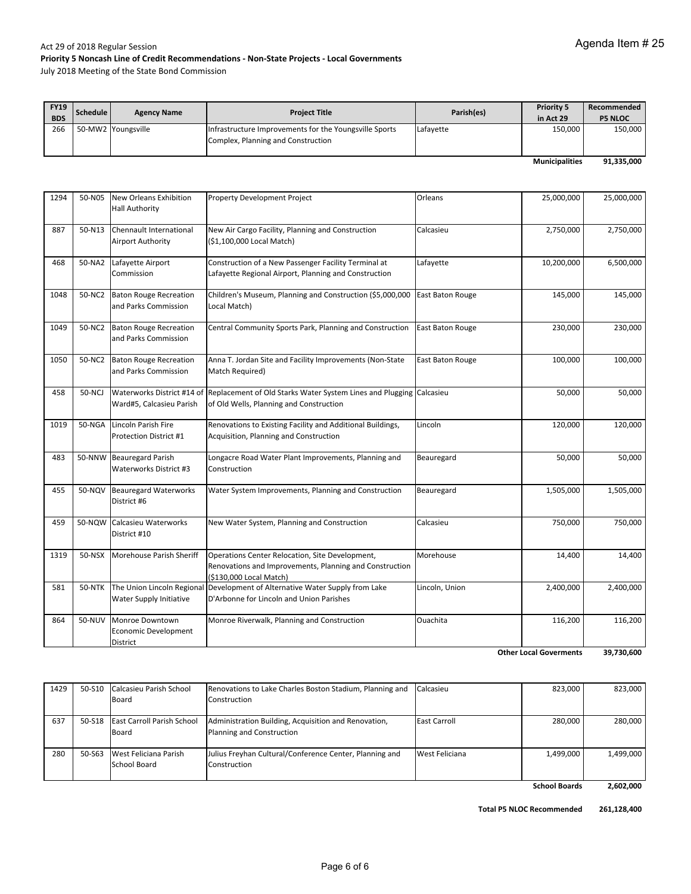July 2018 Meeting of the State Bond Commission

| <b>FY19</b><br><b>BDS</b> | Schedule | <b>Agency Name</b> | <b>Project Title</b>                                                                         | Parish(es) | <b>Priority 5</b><br>in Act 29 | Recommended<br><b>P5 NLOC</b> |
|---------------------------|----------|--------------------|----------------------------------------------------------------------------------------------|------------|--------------------------------|-------------------------------|
| 266                       |          | 50-MW2 Youngsville | Infrastructure Improvements for the Youngsville Sports<br>Complex, Planning and Construction | Lafayette  | 150,000                        | 150,000                       |
|                           |          |                    |                                                                                              |            | <b>Municipalities</b>          | 91,335,000                    |

| 1294 |               | 50-N05 New Orleans Exhibition<br><b>Hall Authority</b>     | <b>Property Development Project</b>                                                                                                       | Orleans                     | 25,000,000 | 25,000,000 |
|------|---------------|------------------------------------------------------------|-------------------------------------------------------------------------------------------------------------------------------------------|-----------------------------|------------|------------|
| 887  | 50-N13        | Chennault International<br><b>Airport Authority</b>        | New Air Cargo Facility, Planning and Construction<br>(\$1,100,000 Local Match)                                                            | 2,750,000<br>Calcasieu      |            | 2,750,000  |
| 468  | 50-NA2        | Lafayette Airport<br>Commission                            | Construction of a New Passenger Facility Terminal at<br>Lafayette Regional Airport, Planning and Construction                             | Lafayette                   | 10,200,000 | 6,500,000  |
| 1048 | 50-NC2        | <b>Baton Rouge Recreation</b><br>and Parks Commission      | Children's Museum, Planning and Construction (\$5,000,000<br>Local Match)                                                                 | <b>East Baton Rouge</b>     | 145,000    |            |
| 1049 | 50-NC2        | <b>Baton Rouge Recreation</b><br>and Parks Commission      | Central Community Sports Park, Planning and Construction                                                                                  | <b>East Baton Rouge</b>     | 230,000    | 230,000    |
| 1050 | 50-NC2        | <b>Baton Rouge Recreation</b><br>and Parks Commission      | Anna T. Jordan Site and Facility Improvements (Non-State<br>East Baton Rouge<br>Match Required)                                           |                             | 100,000    | 100,000    |
| 458  | 50-NCJ        | Ward#5, Calcasieu Parish                                   | Waterworks District #14 of Replacement of Old Starks Water System Lines and Plugging Calcasieu<br>of Old Wells, Planning and Construction |                             | 50,000     | 50,000     |
| 1019 |               | 50-NGA Lincoln Parish Fire<br>Protection District #1       | Renovations to Existing Facility and Additional Buildings,<br>Acquisition, Planning and Construction                                      | Lincoln<br>120,000          |            | 120,000    |
| 483  | 50-NNW        | <b>Beauregard Parish</b><br>Waterworks District #3         | Longacre Road Water Plant Improvements, Planning and<br>Construction                                                                      | 50,000<br>Beauregard        |            | 50,000     |
| 455  |               | 50-NQV Beauregard Waterworks<br>District #6                | Water System Improvements, Planning and Construction                                                                                      | Beauregard                  |            | 1,505,000  |
| 459  |               | 50-NQW Calcasieu Waterworks<br>District #10                | New Water System, Planning and Construction                                                                                               | Calcasieu<br>750,000        |            | 750,000    |
| 1319 | 50-NSX        | Morehouse Parish Sheriff                                   | Operations Center Relocation, Site Development,<br>Renovations and Improvements, Planning and Construction<br>(\$130,000 Local Match)     | Morehouse                   | 14,400     | 14,400     |
| 581  | <b>50-NTK</b> | The Union Lincoln Regional<br>Water Supply Initiative      | Development of Alternative Water Supply from Lake<br>D'Arbonne for Lincoln and Union Parishes                                             | Lincoln, Union<br>2,400,000 |            | 2,400,000  |
| 864  | 50-NUV        | Monroe Downtown<br><b>Economic Development</b><br>District | Monroe Riverwalk, Planning and Construction                                                                                               | Ouachita                    | 116,200    | 116,200    |

**39,730,600 Other Local Goverments**

| 1429 | 50-S10 | Calcasieu Parish School           | Renovations to Lake Charles Boston Stadium, Planning and | Calcasieu           | 823,000              | 823,000   |
|------|--------|-----------------------------------|----------------------------------------------------------|---------------------|----------------------|-----------|
|      |        | Board                             | Construction                                             |                     |                      |           |
|      |        |                                   |                                                          |                     |                      |           |
| 637  |        | 50-S18 East Carroll Parish School | Administration Building, Acquisition and Renovation,     | <b>East Carroll</b> | 280.000              | 280.000   |
|      |        | Board                             | Planning and Construction                                |                     |                      |           |
|      |        |                                   |                                                          |                     |                      |           |
| 280  | 50-S63 | West Feliciana Parish             | Julius Freyhan Cultural/Conference Center, Planning and  | West Feliciana      | 1,499,000            | 1,499,000 |
|      |        | School Board                      | Construction                                             |                     |                      |           |
|      |        |                                   |                                                          |                     |                      |           |
|      |        |                                   |                                                          |                     | <b>School Boards</b> | 2.602.000 |

 **2,602,000**

**Total P5 NLOC Recommended 261,128,400**